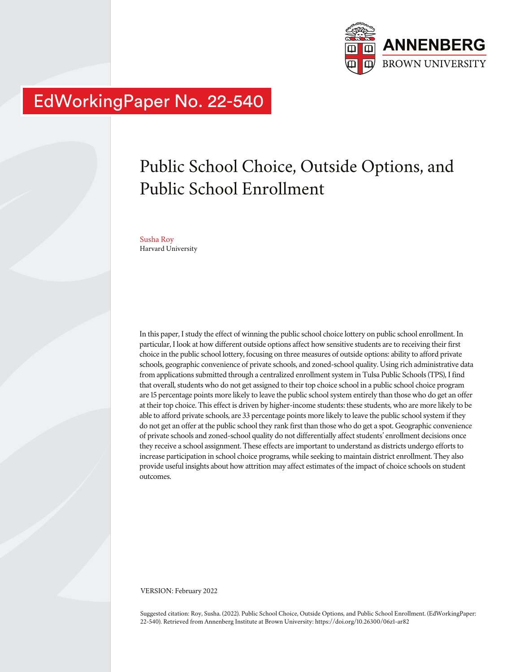

# EdWorkingPaper No. 22-540

# Public School Choice, Outside Options, and Public School Enrollment

Susha Roy Harvard University

In this paper, I study the effect of winning the public school choice lottery on public school enrollment. In particular, I look at how different outside options affect how sensitive students are to receiving their first choice in the public school lottery, focusing on three measures of outside options: ability to afford private schools, geographic convenience of private schools, and zoned-school quality. Using rich administrative data from applications submitted through a centralized enrollment system in Tulsa Public Schools (TPS), I find that overall, students who do not get assigned to their top choice school in a public school choice program are 15 percentage points more likely to leave the public school system entirely than those who do get an offer at their top choice. This effect is driven by higher-income students: these students, who are more likely to be able to afford private schools, are 33 percentage points more likely to leave the public school system if they do not get an offer at the public school they rank first than those who do get a spot. Geographic convenience of private schools and zoned-school quality do not differentially affect students' enrollment decisions once they receive a school assignment. These effects are important to understand as districts undergo efforts to increase participation in school choice programs, while seeking to maintain district enrollment. They also provide useful insights about how attrition may affect estimates of the impact of choice schools on student outcomes.

VERSION: February 2022

Suggested citation: Roy, Susha. (2022). Public School Choice, Outside Options, and Public School Enrollment. (EdWorkingPaper: 22-540). Retrieved from Annenberg Institute at Brown University: https://doi.org/10.26300/06z1-ar82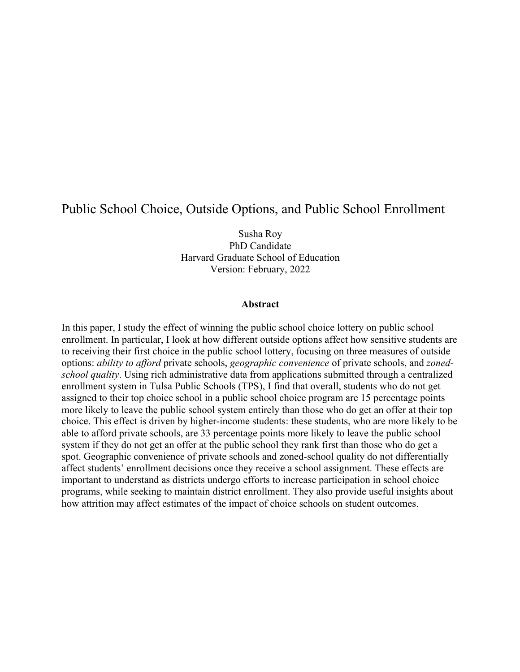# Public School Choice, Outside Options, and Public School Enrollment

Susha Roy PhD Candidate Harvard Graduate School of Education Version: February, 2022

#### **Abstract**

In this paper, I study the effect of winning the public school choice lottery on public school enrollment. In particular, I look at how different outside options affect how sensitive students are to receiving their first choice in the public school lottery, focusing on three measures of outside options: *ability to afford* private schools, *geographic convenience* of private schools, and *zonedschool quality*. Using rich administrative data from applications submitted through a centralized enrollment system in Tulsa Public Schools (TPS), I find that overall, students who do not get assigned to their top choice school in a public school choice program are 15 percentage points more likely to leave the public school system entirely than those who do get an offer at their top choice. This effect is driven by higher-income students: these students, who are more likely to be able to afford private schools, are 33 percentage points more likely to leave the public school system if they do not get an offer at the public school they rank first than those who do get a spot. Geographic convenience of private schools and zoned-school quality do not differentially affect students' enrollment decisions once they receive a school assignment. These effects are important to understand as districts undergo efforts to increase participation in school choice programs, while seeking to maintain district enrollment. They also provide useful insights about how attrition may affect estimates of the impact of choice schools on student outcomes.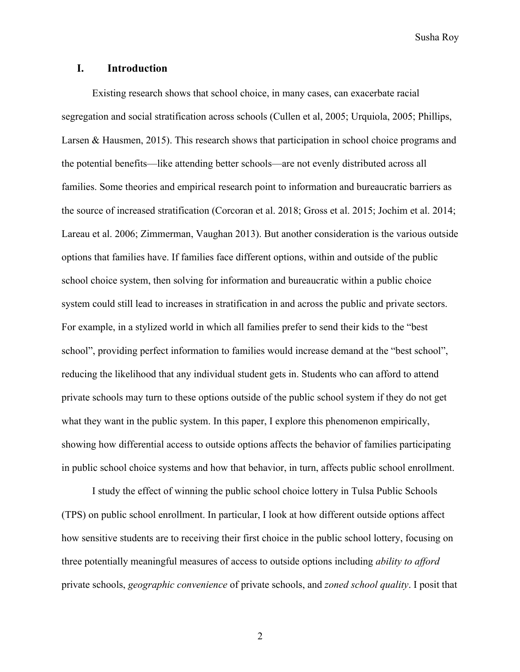## **I. Introduction**

Existing research shows that school choice, in many cases, can exacerbate racial segregation and social stratification across schools (Cullen et al, 2005; Urquiola, 2005; Phillips, Larsen & Hausmen, 2015). This research shows that participation in school choice programs and the potential benefits—like attending better schools—are not evenly distributed across all families. Some theories and empirical research point to information and bureaucratic barriers as the source of increased stratification (Corcoran et al. 2018; Gross et al. 2015; Jochim et al. 2014; Lareau et al. 2006; Zimmerman, Vaughan 2013). But another consideration is the various outside options that families have. If families face different options, within and outside of the public school choice system, then solving for information and bureaucratic within a public choice system could still lead to increases in stratification in and across the public and private sectors. For example, in a stylized world in which all families prefer to send their kids to the "best school", providing perfect information to families would increase demand at the "best school", reducing the likelihood that any individual student gets in. Students who can afford to attend private schools may turn to these options outside of the public school system if they do not get what they want in the public system. In this paper, I explore this phenomenon empirically, showing how differential access to outside options affects the behavior of families participating in public school choice systems and how that behavior, in turn, affects public school enrollment.

I study the effect of winning the public school choice lottery in Tulsa Public Schools (TPS) on public school enrollment. In particular, I look at how different outside options affect how sensitive students are to receiving their first choice in the public school lottery, focusing on three potentially meaningful measures of access to outside options including *ability to afford* private schools, *geographic convenience* of private schools, and *zoned school quality*. I posit that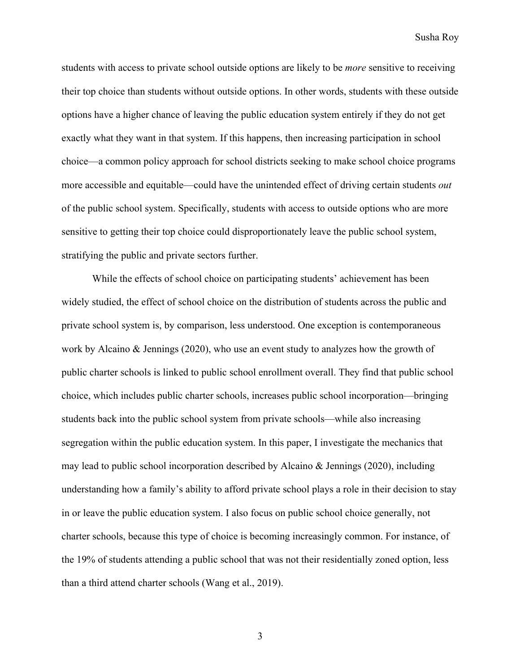students with access to private school outside options are likely to be *more* sensitive to receiving their top choice than students without outside options. In other words, students with these outside options have a higher chance of leaving the public education system entirely if they do not get exactly what they want in that system. If this happens, then increasing participation in school choice—a common policy approach for school districts seeking to make school choice programs more accessible and equitable—could have the unintended effect of driving certain students *out* of the public school system. Specifically, students with access to outside options who are more sensitive to getting their top choice could disproportionately leave the public school system, stratifying the public and private sectors further.

While the effects of school choice on participating students' achievement has been widely studied, the effect of school choice on the distribution of students across the public and private school system is, by comparison, less understood. One exception is contemporaneous work by Alcaino & Jennings (2020), who use an event study to analyzes how the growth of public charter schools is linked to public school enrollment overall. They find that public school choice, which includes public charter schools, increases public school incorporation—bringing students back into the public school system from private schools—while also increasing segregation within the public education system. In this paper, I investigate the mechanics that may lead to public school incorporation described by Alcaino & Jennings (2020), including understanding how a family's ability to afford private school plays a role in their decision to stay in or leave the public education system. I also focus on public school choice generally, not charter schools, because this type of choice is becoming increasingly common. For instance, of the 19% of students attending a public school that was not their residentially zoned option, less than a third attend charter schools (Wang et al., 2019).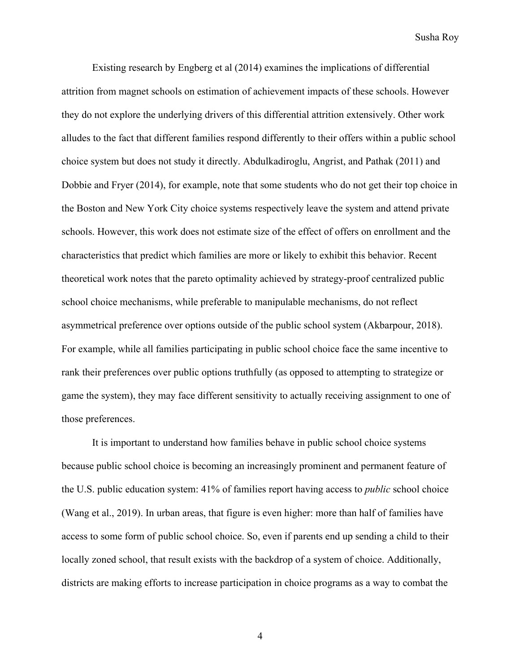Existing research by Engberg et al (2014) examines the implications of differential attrition from magnet schools on estimation of achievement impacts of these schools. However they do not explore the underlying drivers of this differential attrition extensively. Other work alludes to the fact that different families respond differently to their offers within a public school choice system but does not study it directly. Abdulkadiroglu, Angrist, and Pathak (2011) and Dobbie and Fryer (2014), for example, note that some students who do not get their top choice in the Boston and New York City choice systems respectively leave the system and attend private schools. However, this work does not estimate size of the effect of offers on enrollment and the characteristics that predict which families are more or likely to exhibit this behavior. Recent theoretical work notes that the pareto optimality achieved by strategy-proof centralized public school choice mechanisms, while preferable to manipulable mechanisms, do not reflect asymmetrical preference over options outside of the public school system (Akbarpour, 2018). For example, while all families participating in public school choice face the same incentive to rank their preferences over public options truthfully (as opposed to attempting to strategize or game the system), they may face different sensitivity to actually receiving assignment to one of those preferences.

It is important to understand how families behave in public school choice systems because public school choice is becoming an increasingly prominent and permanent feature of the U.S. public education system: 41% of families report having access to *public* school choice (Wang et al., 2019). In urban areas, that figure is even higher: more than half of families have access to some form of public school choice. So, even if parents end up sending a child to their locally zoned school, that result exists with the backdrop of a system of choice. Additionally, districts are making efforts to increase participation in choice programs as a way to combat the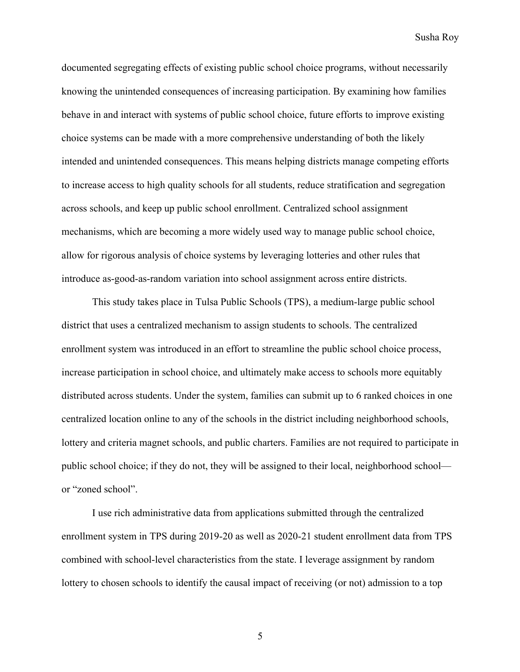documented segregating effects of existing public school choice programs, without necessarily knowing the unintended consequences of increasing participation. By examining how families behave in and interact with systems of public school choice, future efforts to improve existing choice systems can be made with a more comprehensive understanding of both the likely intended and unintended consequences. This means helping districts manage competing efforts to increase access to high quality schools for all students, reduce stratification and segregation across schools, and keep up public school enrollment. Centralized school assignment mechanisms, which are becoming a more widely used way to manage public school choice, allow for rigorous analysis of choice systems by leveraging lotteries and other rules that introduce as-good-as-random variation into school assignment across entire districts.

This study takes place in Tulsa Public Schools (TPS), a medium-large public school district that uses a centralized mechanism to assign students to schools. The centralized enrollment system was introduced in an effort to streamline the public school choice process, increase participation in school choice, and ultimately make access to schools more equitably distributed across students. Under the system, families can submit up to 6 ranked choices in one centralized location online to any of the schools in the district including neighborhood schools, lottery and criteria magnet schools, and public charters. Families are not required to participate in public school choice; if they do not, they will be assigned to their local, neighborhood school or "zoned school".

I use rich administrative data from applications submitted through the centralized enrollment system in TPS during 2019-20 as well as 2020-21 student enrollment data from TPS combined with school-level characteristics from the state. I leverage assignment by random lottery to chosen schools to identify the causal impact of receiving (or not) admission to a top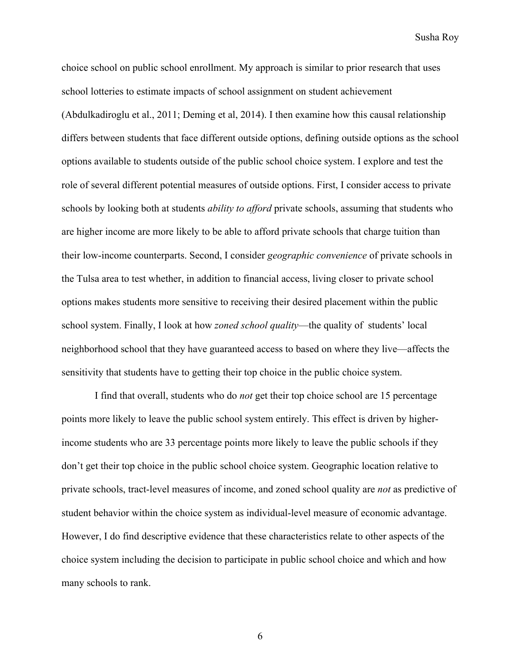choice school on public school enrollment. My approach is similar to prior research that uses school lotteries to estimate impacts of school assignment on student achievement (Abdulkadiroglu et al., 2011; Deming et al, 2014). I then examine how this causal relationship differs between students that face different outside options, defining outside options as the school options available to students outside of the public school choice system. I explore and test the role of several different potential measures of outside options. First, I consider access to private schools by looking both at students *ability to afford* private schools, assuming that students who are higher income are more likely to be able to afford private schools that charge tuition than their low-income counterparts. Second, I consider *geographic convenience* of private schools in the Tulsa area to test whether, in addition to financial access, living closer to private school options makes students more sensitive to receiving their desired placement within the public school system. Finally, I look at how *zoned school quality*—the quality of students' local neighborhood school that they have guaranteed access to based on where they live—affects the sensitivity that students have to getting their top choice in the public choice system.

I find that overall, students who do *not* get their top choice school are 15 percentage points more likely to leave the public school system entirely. This effect is driven by higherincome students who are 33 percentage points more likely to leave the public schools if they don't get their top choice in the public school choice system. Geographic location relative to private schools, tract-level measures of income, and zoned school quality are *not* as predictive of student behavior within the choice system as individual-level measure of economic advantage. However, I do find descriptive evidence that these characteristics relate to other aspects of the choice system including the decision to participate in public school choice and which and how many schools to rank.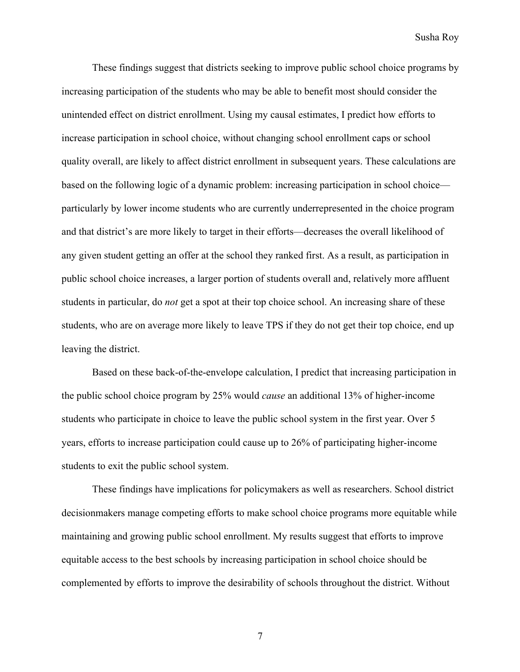These findings suggest that districts seeking to improve public school choice programs by increasing participation of the students who may be able to benefit most should consider the unintended effect on district enrollment. Using my causal estimates, I predict how efforts to increase participation in school choice, without changing school enrollment caps or school quality overall, are likely to affect district enrollment in subsequent years. These calculations are based on the following logic of a dynamic problem: increasing participation in school choice particularly by lower income students who are currently underrepresented in the choice program and that district's are more likely to target in their efforts—decreases the overall likelihood of any given student getting an offer at the school they ranked first. As a result, as participation in public school choice increases, a larger portion of students overall and, relatively more affluent students in particular, do *not* get a spot at their top choice school. An increasing share of these students, who are on average more likely to leave TPS if they do not get their top choice, end up leaving the district.

Based on these back-of-the-envelope calculation, I predict that increasing participation in the public school choice program by 25% would *cause* an additional 13% of higher-income students who participate in choice to leave the public school system in the first year. Over 5 years, efforts to increase participation could cause up to 26% of participating higher-income students to exit the public school system.

These findings have implications for policymakers as well as researchers. School district decisionmakers manage competing efforts to make school choice programs more equitable while maintaining and growing public school enrollment. My results suggest that efforts to improve equitable access to the best schools by increasing participation in school choice should be complemented by efforts to improve the desirability of schools throughout the district. Without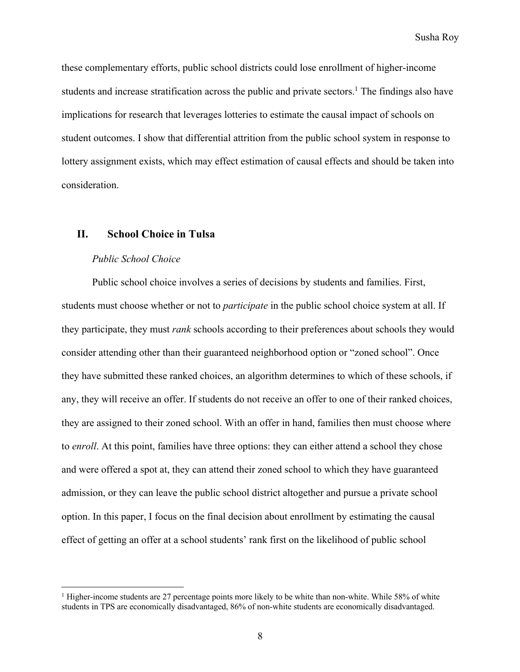these complementary efforts, public school districts could lose enrollment of higher-income students and increase stratification across the public and private sectors.<sup>1</sup> The findings also have implications for research that leverages lotteries to estimate the causal impact of schools on student outcomes. I show that differential attrition from the public school system in response to lottery assignment exists, which may effect estimation of causal effects and should be taken into consideration.

# **II. School Choice in Tulsa**

#### *Public School Choice*

Public school choice involves a series of decisions by students and families. First, students must choose whether or not to *participate* in the public school choice system at all. If they participate, they must *rank* schools according to their preferences about schools they would consider attending other than their guaranteed neighborhood option or "zoned school". Once they have submitted these ranked choices, an algorithm determines to which of these schools, if any, they will receive an offer. If students do not receive an offer to one of their ranked choices, they are assigned to their zoned school. With an offer in hand, families then must choose where to *enroll*. At this point, families have three options: they can either attend a school they chose and were offered a spot at, they can attend their zoned school to which they have guaranteed admission, or they can leave the public school district altogether and pursue a private school option. In this paper, I focus on the final decision about enrollment by estimating the causal effect of getting an offer at a school students' rank first on the likelihood of public school

<sup>&</sup>lt;sup>1</sup> Higher-income students are 27 percentage points more likely to be white than non-white. While 58% of white students in TPS are economically disadvantaged, 86% of non-white students are economically disadvantaged.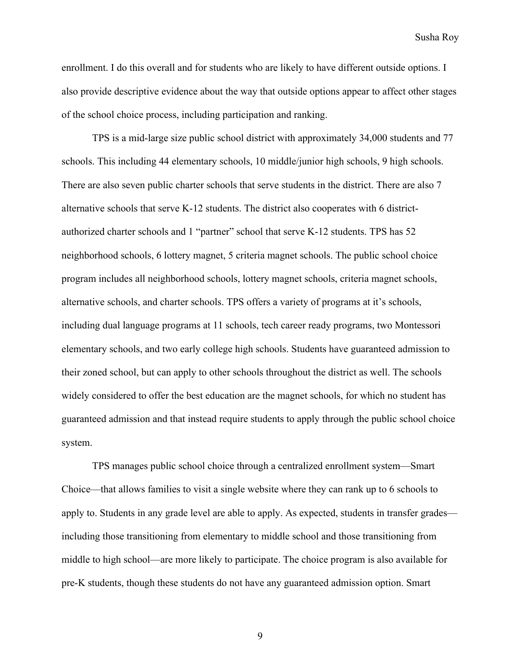enrollment. I do this overall and for students who are likely to have different outside options. I also provide descriptive evidence about the way that outside options appear to affect other stages of the school choice process, including participation and ranking.

TPS is a mid-large size public school district with approximately 34,000 students and 77 schools. This including 44 elementary schools, 10 middle/junior high schools, 9 high schools. There are also seven public charter schools that serve students in the district. There are also 7 alternative schools that serve K-12 students. The district also cooperates with 6 districtauthorized charter schools and 1 "partner" school that serve K-12 students. TPS has 52 neighborhood schools, 6 lottery magnet, 5 criteria magnet schools. The public school choice program includes all neighborhood schools, lottery magnet schools, criteria magnet schools, alternative schools, and charter schools. TPS offers a variety of programs at it's schools, including dual language programs at 11 schools, tech career ready programs, two Montessori elementary schools, and two early college high schools. Students have guaranteed admission to their zoned school, but can apply to other schools throughout the district as well. The schools widely considered to offer the best education are the magnet schools, for which no student has guaranteed admission and that instead require students to apply through the public school choice system.

TPS manages public school choice through a centralized enrollment system—Smart Choice—that allows families to visit a single website where they can rank up to 6 schools to apply to. Students in any grade level are able to apply. As expected, students in transfer grades including those transitioning from elementary to middle school and those transitioning from middle to high school—are more likely to participate. The choice program is also available for pre-K students, though these students do not have any guaranteed admission option. Smart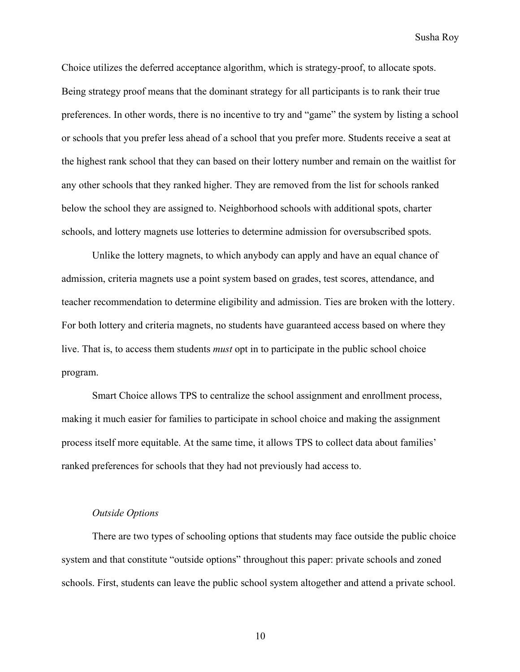Choice utilizes the deferred acceptance algorithm, which is strategy-proof, to allocate spots. Being strategy proof means that the dominant strategy for all participants is to rank their true preferences. In other words, there is no incentive to try and "game" the system by listing a school or schools that you prefer less ahead of a school that you prefer more. Students receive a seat at the highest rank school that they can based on their lottery number and remain on the waitlist for any other schools that they ranked higher. They are removed from the list for schools ranked below the school they are assigned to. Neighborhood schools with additional spots, charter schools, and lottery magnets use lotteries to determine admission for oversubscribed spots.

Unlike the lottery magnets, to which anybody can apply and have an equal chance of admission, criteria magnets use a point system based on grades, test scores, attendance, and teacher recommendation to determine eligibility and admission. Ties are broken with the lottery. For both lottery and criteria magnets, no students have guaranteed access based on where they live. That is, to access them students *must* opt in to participate in the public school choice program.

Smart Choice allows TPS to centralize the school assignment and enrollment process, making it much easier for families to participate in school choice and making the assignment process itself more equitable. At the same time, it allows TPS to collect data about families' ranked preferences for schools that they had not previously had access to.

#### *Outside Options*

There are two types of schooling options that students may face outside the public choice system and that constitute "outside options" throughout this paper: private schools and zoned schools. First, students can leave the public school system altogether and attend a private school.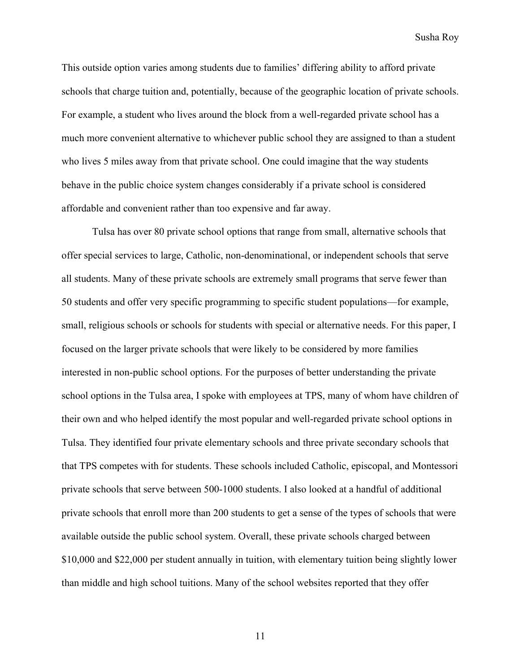This outside option varies among students due to families' differing ability to afford private schools that charge tuition and, potentially, because of the geographic location of private schools. For example, a student who lives around the block from a well-regarded private school has a much more convenient alternative to whichever public school they are assigned to than a student who lives 5 miles away from that private school. One could imagine that the way students behave in the public choice system changes considerably if a private school is considered affordable and convenient rather than too expensive and far away.

Tulsa has over 80 private school options that range from small, alternative schools that offer special services to large, Catholic, non-denominational, or independent schools that serve all students. Many of these private schools are extremely small programs that serve fewer than 50 students and offer very specific programming to specific student populations—for example, small, religious schools or schools for students with special or alternative needs. For this paper, I focused on the larger private schools that were likely to be considered by more families interested in non-public school options. For the purposes of better understanding the private school options in the Tulsa area, I spoke with employees at TPS, many of whom have children of their own and who helped identify the most popular and well-regarded private school options in Tulsa. They identified four private elementary schools and three private secondary schools that that TPS competes with for students. These schools included Catholic, episcopal, and Montessori private schools that serve between 500-1000 students. I also looked at a handful of additional private schools that enroll more than 200 students to get a sense of the types of schools that were available outside the public school system. Overall, these private schools charged between \$10,000 and \$22,000 per student annually in tuition, with elementary tuition being slightly lower than middle and high school tuitions. Many of the school websites reported that they offer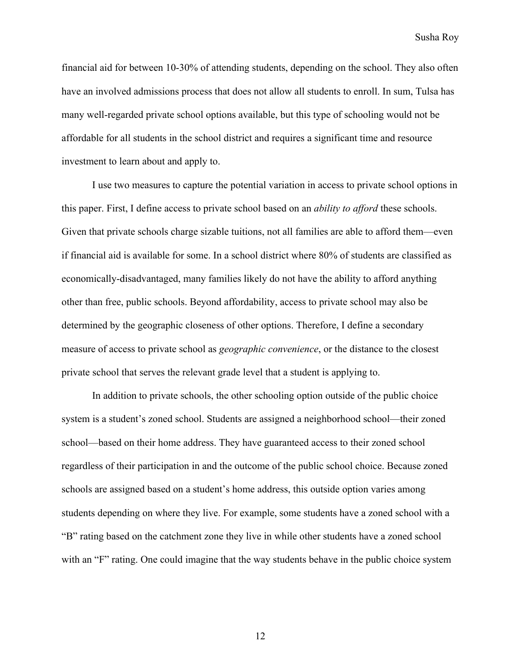financial aid for between 10-30% of attending students, depending on the school. They also often have an involved admissions process that does not allow all students to enroll. In sum, Tulsa has many well-regarded private school options available, but this type of schooling would not be affordable for all students in the school district and requires a significant time and resource investment to learn about and apply to.

I use two measures to capture the potential variation in access to private school options in this paper. First, I define access to private school based on an *ability to afford* these schools. Given that private schools charge sizable tuitions, not all families are able to afford them—even if financial aid is available for some. In a school district where 80% of students are classified as economically-disadvantaged, many families likely do not have the ability to afford anything other than free, public schools. Beyond affordability, access to private school may also be determined by the geographic closeness of other options. Therefore, I define a secondary measure of access to private school as *geographic convenience*, or the distance to the closest private school that serves the relevant grade level that a student is applying to.

In addition to private schools, the other schooling option outside of the public choice system is a student's zoned school. Students are assigned a neighborhood school—their zoned school—based on their home address. They have guaranteed access to their zoned school regardless of their participation in and the outcome of the public school choice. Because zoned schools are assigned based on a student's home address, this outside option varies among students depending on where they live. For example, some students have a zoned school with a "B" rating based on the catchment zone they live in while other students have a zoned school with an "F" rating. One could imagine that the way students behave in the public choice system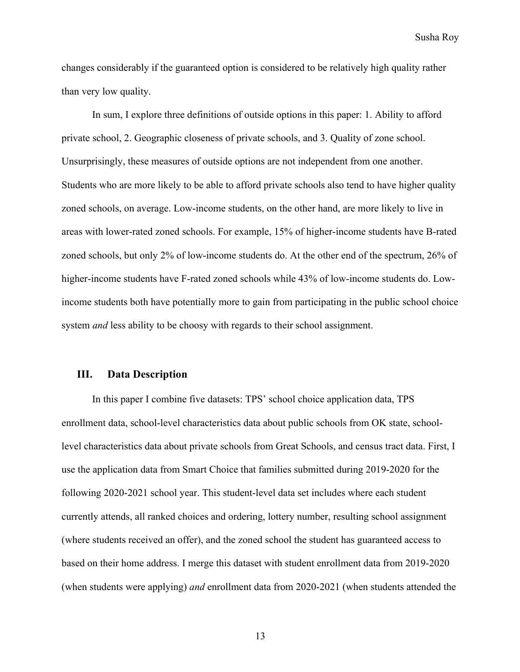changes considerably if the guaranteed option is considered to be relatively high quality rather than very low quality.

In sum, I explore three definitions of outside options in this paper: 1. Ability to afford private school, 2. Geographic closeness of private schools, and 3. Quality of zone school. Unsurprisingly, these measures of outside options are not independent from one another. Students who are more likely to be able to afford private schools also tend to have higher quality zoned schools, on average. Low-income students, on the other hand, are more likely to live in areas with lower-rated zoned schools. For example, 15% of higher-income students have B-rated zoned schools, but only 2% of low-income students do. At the other end of the spectrum, 26% of higher-income students have F-rated zoned schools while 43% of low-income students do. Lowincome students both have potentially more to gain from participating in the public school choice system *and* less ability to be choosy with regards to their school assignment.

## **III. Data Description**

In this paper I combine five datasets: TPS' school choice application data, TPS enrollment data, school-level characteristics data about public schools from OK state, schoollevel characteristics data about private schools from Great Schools, and census tract data. First, I use the application data from Smart Choice that families submitted during 2019-2020 for the following 2020-2021 school year. This student-level data set includes where each student currently attends, all ranked choices and ordering, lottery number, resulting school assignment (where students received an offer), and the zoned school the student has guaranteed access to based on their home address. I merge this dataset with student enrollment data from 2019-2020 (when students were applying) *and* enrollment data from 2020-2021 (when students attended the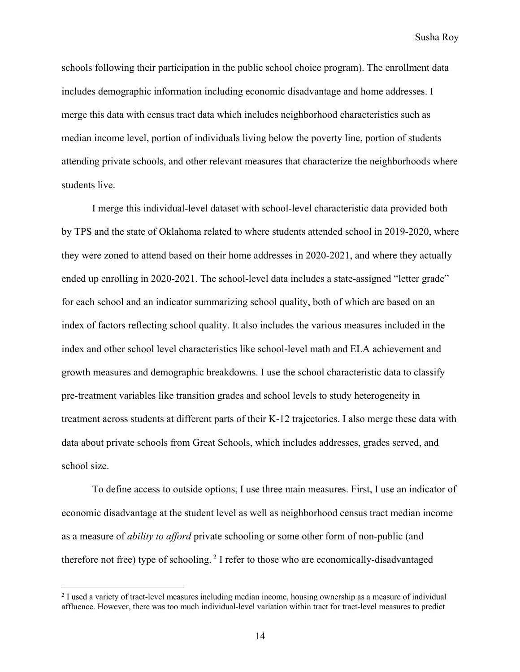schools following their participation in the public school choice program). The enrollment data includes demographic information including economic disadvantage and home addresses. I merge this data with census tract data which includes neighborhood characteristics such as median income level, portion of individuals living below the poverty line, portion of students attending private schools, and other relevant measures that characterize the neighborhoods where students live.

I merge this individual-level dataset with school-level characteristic data provided both by TPS and the state of Oklahoma related to where students attended school in 2019-2020, where they were zoned to attend based on their home addresses in 2020-2021, and where they actually ended up enrolling in 2020-2021. The school-level data includes a state-assigned "letter grade" for each school and an indicator summarizing school quality, both of which are based on an index of factors reflecting school quality. It also includes the various measures included in the index and other school level characteristics like school-level math and ELA achievement and growth measures and demographic breakdowns. I use the school characteristic data to classify pre-treatment variables like transition grades and school levels to study heterogeneity in treatment across students at different parts of their K-12 trajectories. I also merge these data with data about private schools from Great Schools, which includes addresses, grades served, and school size.

To define access to outside options, I use three main measures. First, I use an indicator of economic disadvantage at the student level as well as neighborhood census tract median income as a measure of *ability to afford* private schooling or some other form of non-public (and therefore not free) type of schooling.<sup>2</sup> I refer to those who are economically-disadvantaged

<sup>&</sup>lt;sup>2</sup> I used a variety of tract-level measures including median income, housing ownership as a measure of individual affluence. However, there was too much individual-level variation within tract for tract-level measures to predict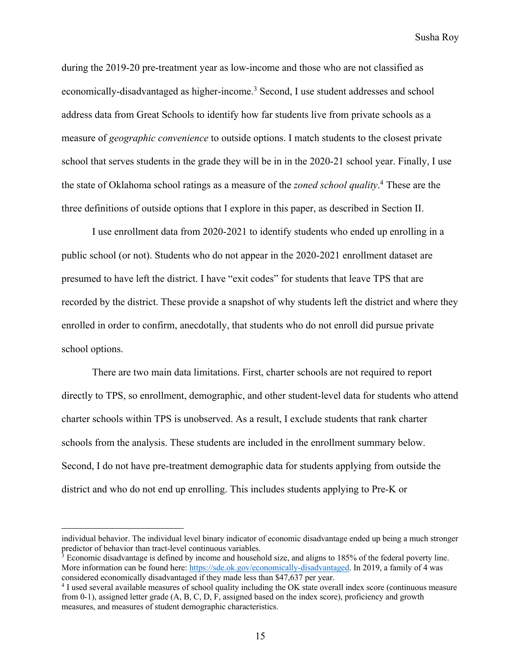during the 2019-20 pre-treatment year as low-income and those who are not classified as economically-disadvantaged as higher-income.<sup>3</sup> Second, I use student addresses and school address data from Great Schools to identify how far students live from private schools as a measure of *geographic convenience* to outside options. I match students to the closest private school that serves students in the grade they will be in in the 2020-21 school year. Finally, I use the state of Oklahoma school ratings as a measure of the *zoned school quality*. <sup>4</sup> These are the three definitions of outside options that I explore in this paper, as described in Section II.

I use enrollment data from 2020-2021 to identify students who ended up enrolling in a public school (or not). Students who do not appear in the 2020-2021 enrollment dataset are presumed to have left the district. I have "exit codes" for students that leave TPS that are recorded by the district. These provide a snapshot of why students left the district and where they enrolled in order to confirm, anecdotally, that students who do not enroll did pursue private school options.

There are two main data limitations. First, charter schools are not required to report directly to TPS, so enrollment, demographic, and other student-level data for students who attend charter schools within TPS is unobserved. As a result, I exclude students that rank charter schools from the analysis. These students are included in the enrollment summary below. Second, I do not have pre-treatment demographic data for students applying from outside the district and who do not end up enrolling. This includes students applying to Pre-K or

individual behavior. The individual level binary indicator of economic disadvantage ended up being a much stronger predictor of behavior than tract-level continuous variables.<br><sup>3</sup> Economic disadvantage is defined by income and household size, and aligns to 185% of the federal poverty line.

More information can be found here: https://sde.ok.gov/economically-disadvantaged. In 2019, a family of 4 was considered economically disadvantaged if they made less than \$47,637 per year.

<sup>4</sup> I used several available measures of school quality including the OK state overall index score (continuous measure from 0-1), assigned letter grade (A, B, C, D, F, assigned based on the index score), proficiency and growth measures, and measures of student demographic characteristics.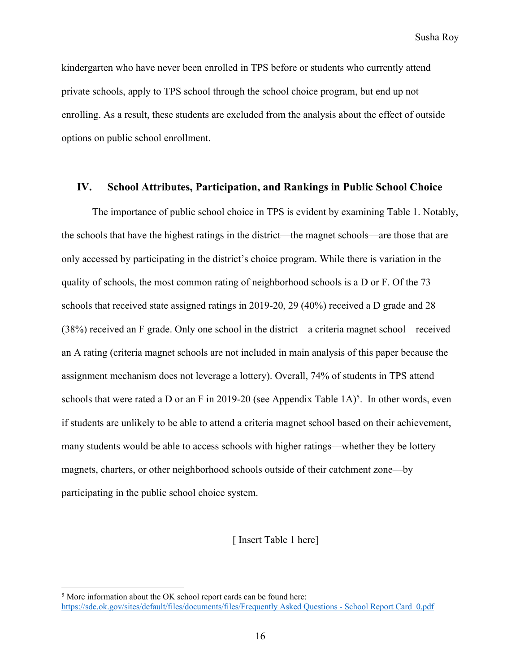kindergarten who have never been enrolled in TPS before or students who currently attend private schools, apply to TPS school through the school choice program, but end up not enrolling. As a result, these students are excluded from the analysis about the effect of outside options on public school enrollment.

# **IV. School Attributes, Participation, and Rankings in Public School Choice**

The importance of public school choice in TPS is evident by examining Table 1. Notably, the schools that have the highest ratings in the district—the magnet schools—are those that are only accessed by participating in the district's choice program. While there is variation in the quality of schools, the most common rating of neighborhood schools is a D or F. Of the 73 schools that received state assigned ratings in 2019-20, 29 (40%) received a D grade and 28 (38%) received an F grade. Only one school in the district—a criteria magnet school—received an A rating (criteria magnet schools are not included in main analysis of this paper because the assignment mechanism does not leverage a lottery). Overall, 74% of students in TPS attend schools that were rated a D or an F in 2019-20 (see Appendix Table  $1A$ )<sup>5</sup>. In other words, even if students are unlikely to be able to attend a criteria magnet school based on their achievement, many students would be able to access schools with higher ratings—whether they be lottery magnets, charters, or other neighborhood schools outside of their catchment zone—by participating in the public school choice system.

#### [ Insert Table 1 here]

<sup>&</sup>lt;sup>5</sup> More information about the OK school report cards can be found here: https://sde.ok.gov/sites/default/files/documents/files/Frequently Asked Questions - School Report Card\_0.pdf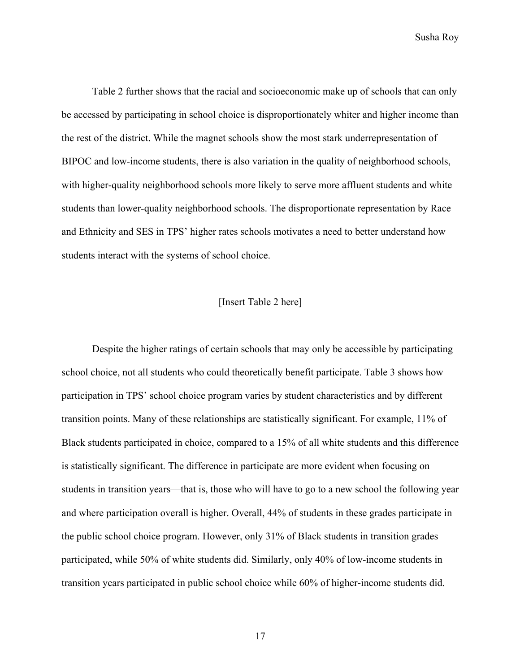Table 2 further shows that the racial and socioeconomic make up of schools that can only be accessed by participating in school choice is disproportionately whiter and higher income than the rest of the district. While the magnet schools show the most stark underrepresentation of BIPOC and low-income students, there is also variation in the quality of neighborhood schools, with higher-quality neighborhood schools more likely to serve more affluent students and white students than lower-quality neighborhood schools. The disproportionate representation by Race and Ethnicity and SES in TPS' higher rates schools motivates a need to better understand how students interact with the systems of school choice.

#### [Insert Table 2 here]

Despite the higher ratings of certain schools that may only be accessible by participating school choice, not all students who could theoretically benefit participate. Table 3 shows how participation in TPS' school choice program varies by student characteristics and by different transition points. Many of these relationships are statistically significant. For example, 11% of Black students participated in choice, compared to a 15% of all white students and this difference is statistically significant. The difference in participate are more evident when focusing on students in transition years—that is, those who will have to go to a new school the following year and where participation overall is higher. Overall, 44% of students in these grades participate in the public school choice program. However, only 31% of Black students in transition grades participated, while 50% of white students did. Similarly, only 40% of low-income students in transition years participated in public school choice while 60% of higher-income students did.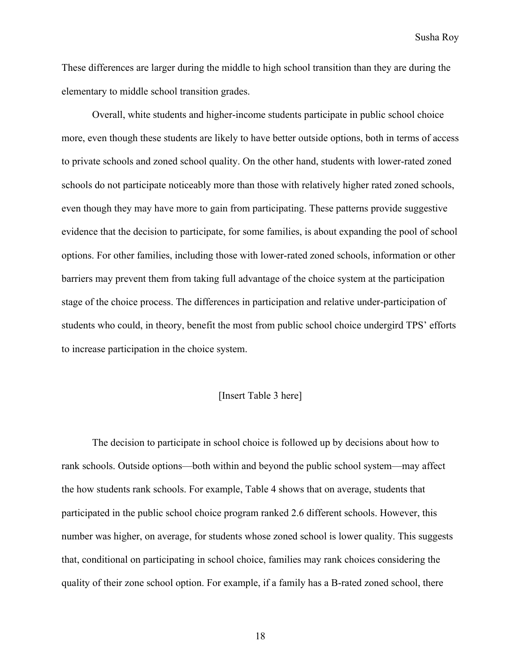These differences are larger during the middle to high school transition than they are during the elementary to middle school transition grades.

Overall, white students and higher-income students participate in public school choice more, even though these students are likely to have better outside options, both in terms of access to private schools and zoned school quality. On the other hand, students with lower-rated zoned schools do not participate noticeably more than those with relatively higher rated zoned schools, even though they may have more to gain from participating. These patterns provide suggestive evidence that the decision to participate, for some families, is about expanding the pool of school options. For other families, including those with lower-rated zoned schools, information or other barriers may prevent them from taking full advantage of the choice system at the participation stage of the choice process. The differences in participation and relative under-participation of students who could, in theory, benefit the most from public school choice undergird TPS' efforts to increase participation in the choice system.

#### [Insert Table 3 here]

The decision to participate in school choice is followed up by decisions about how to rank schools. Outside options—both within and beyond the public school system—may affect the how students rank schools. For example, Table 4 shows that on average, students that participated in the public school choice program ranked 2.6 different schools. However, this number was higher, on average, for students whose zoned school is lower quality. This suggests that, conditional on participating in school choice, families may rank choices considering the quality of their zone school option. For example, if a family has a B-rated zoned school, there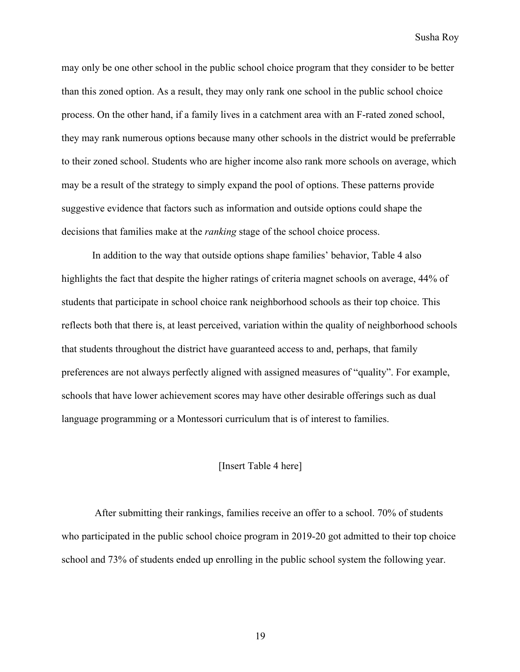may only be one other school in the public school choice program that they consider to be better than this zoned option. As a result, they may only rank one school in the public school choice process. On the other hand, if a family lives in a catchment area with an F-rated zoned school, they may rank numerous options because many other schools in the district would be preferrable to their zoned school. Students who are higher income also rank more schools on average, which may be a result of the strategy to simply expand the pool of options. These patterns provide suggestive evidence that factors such as information and outside options could shape the decisions that families make at the *ranking* stage of the school choice process.

In addition to the way that outside options shape families' behavior, Table 4 also highlights the fact that despite the higher ratings of criteria magnet schools on average, 44% of students that participate in school choice rank neighborhood schools as their top choice. This reflects both that there is, at least perceived, variation within the quality of neighborhood schools that students throughout the district have guaranteed access to and, perhaps, that family preferences are not always perfectly aligned with assigned measures of "quality". For example, schools that have lower achievement scores may have other desirable offerings such as dual language programming or a Montessori curriculum that is of interest to families.

#### [Insert Table 4 here]

After submitting their rankings, families receive an offer to a school. 70% of students who participated in the public school choice program in 2019-20 got admitted to their top choice school and 73% of students ended up enrolling in the public school system the following year.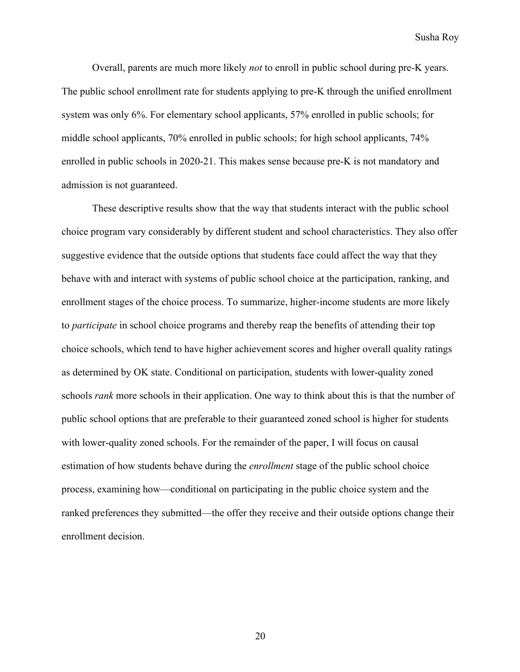Overall, parents are much more likely *not* to enroll in public school during pre-K years. The public school enrollment rate for students applying to pre-K through the unified enrollment system was only 6%. For elementary school applicants, 57% enrolled in public schools; for middle school applicants, 70% enrolled in public schools; for high school applicants, 74% enrolled in public schools in 2020-21. This makes sense because pre-K is not mandatory and admission is not guaranteed.

These descriptive results show that the way that students interact with the public school choice program vary considerably by different student and school characteristics. They also offer suggestive evidence that the outside options that students face could affect the way that they behave with and interact with systems of public school choice at the participation, ranking, and enrollment stages of the choice process. To summarize, higher-income students are more likely to *participate* in school choice programs and thereby reap the benefits of attending their top choice schools, which tend to have higher achievement scores and higher overall quality ratings as determined by OK state. Conditional on participation, students with lower-quality zoned schools *rank* more schools in their application. One way to think about this is that the number of public school options that are preferable to their guaranteed zoned school is higher for students with lower-quality zoned schools. For the remainder of the paper, I will focus on causal estimation of how students behave during the *enrollment* stage of the public school choice process, examining how—conditional on participating in the public choice system and the ranked preferences they submitted—the offer they receive and their outside options change their enrollment decision.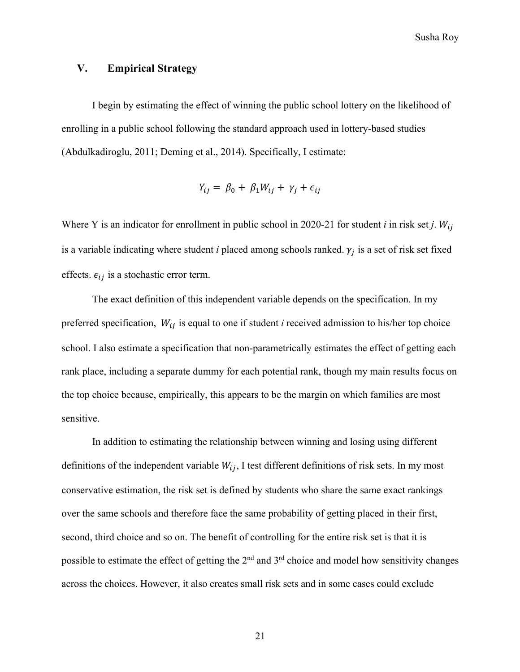# **V. Empirical Strategy**

I begin by estimating the effect of winning the public school lottery on the likelihood of enrolling in a public school following the standard approach used in lottery-based studies (Abdulkadiroglu, 2011; Deming et al., 2014). Specifically, I estimate:

$$
Y_{ij} = \beta_0 + \beta_1 W_{ij} + \gamma_j + \epsilon_{ij}
$$

Where Y is an indicator for enrollment in public school in 2020-21 for student *i* in risk set *j*.  $W_{ij}$ is a variable indicating where student  $i$  placed among schools ranked.  $\gamma_j$  is a set of risk set fixed effects.  $\epsilon_{ii}$  is a stochastic error term.

The exact definition of this independent variable depends on the specification. In my preferred specification,  $W_{ij}$  is equal to one if student *i* received admission to his/her top choice school. I also estimate a specification that non-parametrically estimates the effect of getting each rank place, including a separate dummy for each potential rank, though my main results focus on the top choice because, empirically, this appears to be the margin on which families are most sensitive.

In addition to estimating the relationship between winning and losing using different definitions of the independent variable  $W_{ij}$ , I test different definitions of risk sets. In my most conservative estimation, the risk set is defined by students who share the same exact rankings over the same schools and therefore face the same probability of getting placed in their first, second, third choice and so on. The benefit of controlling for the entire risk set is that it is possible to estimate the effect of getting the 2<sup>nd</sup> and 3<sup>rd</sup> choice and model how sensitivity changes across the choices. However, it also creates small risk sets and in some cases could exclude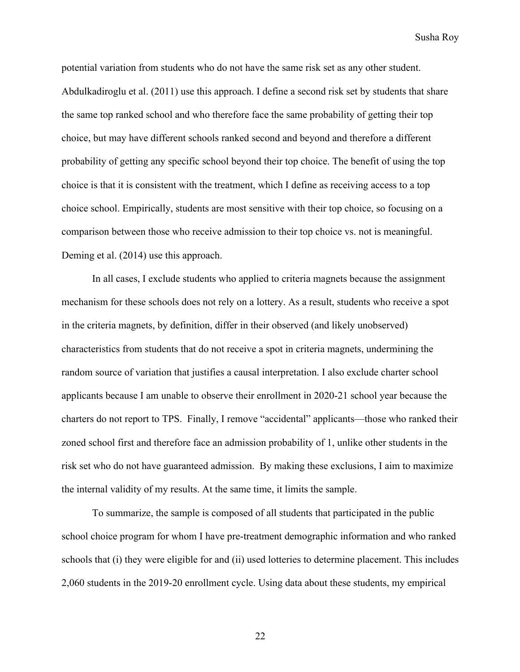potential variation from students who do not have the same risk set as any other student. Abdulkadiroglu et al. (2011) use this approach. I define a second risk set by students that share the same top ranked school and who therefore face the same probability of getting their top choice, but may have different schools ranked second and beyond and therefore a different probability of getting any specific school beyond their top choice. The benefit of using the top choice is that it is consistent with the treatment, which I define as receiving access to a top choice school. Empirically, students are most sensitive with their top choice, so focusing on a comparison between those who receive admission to their top choice vs. not is meaningful. Deming et al. (2014) use this approach.

In all cases, I exclude students who applied to criteria magnets because the assignment mechanism for these schools does not rely on a lottery. As a result, students who receive a spot in the criteria magnets, by definition, differ in their observed (and likely unobserved) characteristics from students that do not receive a spot in criteria magnets, undermining the random source of variation that justifies a causal interpretation. I also exclude charter school applicants because I am unable to observe their enrollment in 2020-21 school year because the charters do not report to TPS. Finally, I remove "accidental" applicants—those who ranked their zoned school first and therefore face an admission probability of 1, unlike other students in the risk set who do not have guaranteed admission. By making these exclusions, I aim to maximize the internal validity of my results. At the same time, it limits the sample.

To summarize, the sample is composed of all students that participated in the public school choice program for whom I have pre-treatment demographic information and who ranked schools that (i) they were eligible for and (ii) used lotteries to determine placement. This includes 2,060 students in the 2019-20 enrollment cycle. Using data about these students, my empirical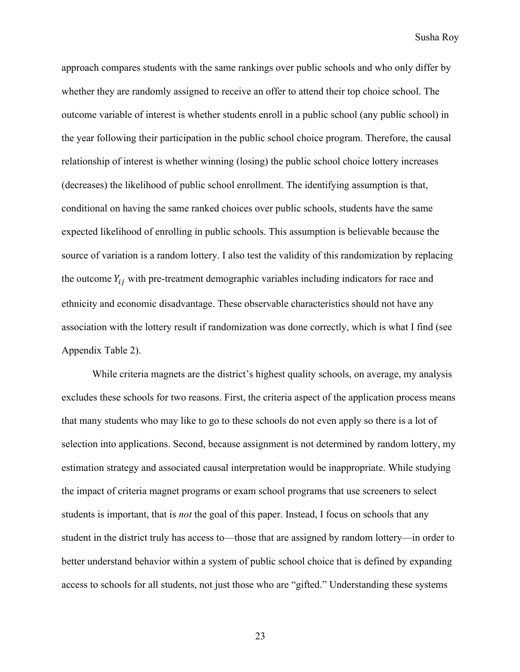approach compares students with the same rankings over public schools and who only differ by whether they are randomly assigned to receive an offer to attend their top choice school. The outcome variable of interest is whether students enroll in a public school (any public school) in the year following their participation in the public school choice program. Therefore, the causal relationship of interest is whether winning (losing) the public school choice lottery increases (decreases) the likelihood of public school enrollment. The identifying assumption is that, conditional on having the same ranked choices over public schools, students have the same expected likelihood of enrolling in public schools. This assumption is believable because the source of variation is a random lottery. I also test the validity of this randomization by replacing the outcome  $Y_{ij}$  with pre-treatment demographic variables including indicators for race and ethnicity and economic disadvantage. These observable characteristics should not have any association with the lottery result if randomization was done correctly, which is what I find (see Appendix Table 2).

While criteria magnets are the district's highest quality schools, on average, my analysis excludes these schools for two reasons. First, the criteria aspect of the application process means that many students who may like to go to these schools do not even apply so there is a lot of selection into applications. Second, because assignment is not determined by random lottery, my estimation strategy and associated causal interpretation would be inappropriate. While studying the impact of criteria magnet programs or exam school programs that use screeners to select students is important, that is *not* the goal of this paper. Instead, I focus on schools that any student in the district truly has access to—those that are assigned by random lottery—in order to better understand behavior within a system of public school choice that is defined by expanding access to schools for all students, not just those who are "gifted." Understanding these systems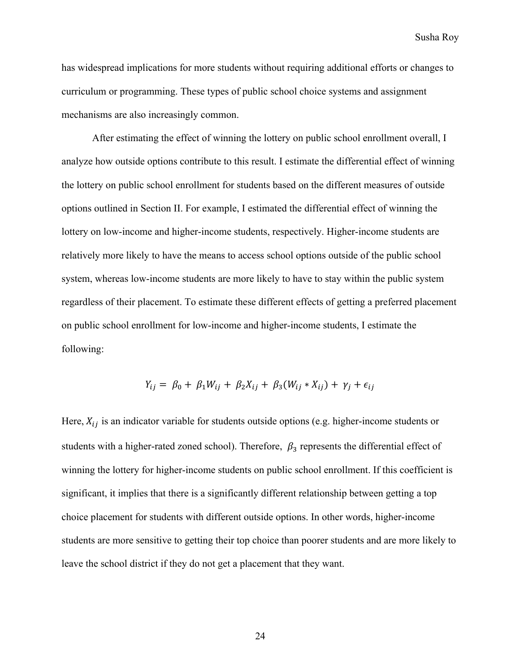has widespread implications for more students without requiring additional efforts or changes to curriculum or programming. These types of public school choice systems and assignment mechanisms are also increasingly common.

After estimating the effect of winning the lottery on public school enrollment overall, I analyze how outside options contribute to this result. I estimate the differential effect of winning the lottery on public school enrollment for students based on the different measures of outside options outlined in Section II. For example, I estimated the differential effect of winning the lottery on low-income and higher-income students, respectively. Higher-income students are relatively more likely to have the means to access school options outside of the public school system, whereas low-income students are more likely to have to stay within the public system regardless of their placement. To estimate these different effects of getting a preferred placement on public school enrollment for low-income and higher-income students, I estimate the following:

$$
Y_{ij} = \beta_0 + \beta_1 W_{ij} + \beta_2 X_{ij} + \beta_3 (W_{ij} * X_{ij}) + \gamma_j + \epsilon_{ij}
$$

Here,  $X_{ij}$  is an indicator variable for students outside options (e.g. higher-income students or students with a higher-rated zoned school). Therefore,  $\beta_3$  represents the differential effect of winning the lottery for higher-income students on public school enrollment. If this coefficient is significant, it implies that there is a significantly different relationship between getting a top choice placement for students with different outside options. In other words, higher-income students are more sensitive to getting their top choice than poorer students and are more likely to leave the school district if they do not get a placement that they want.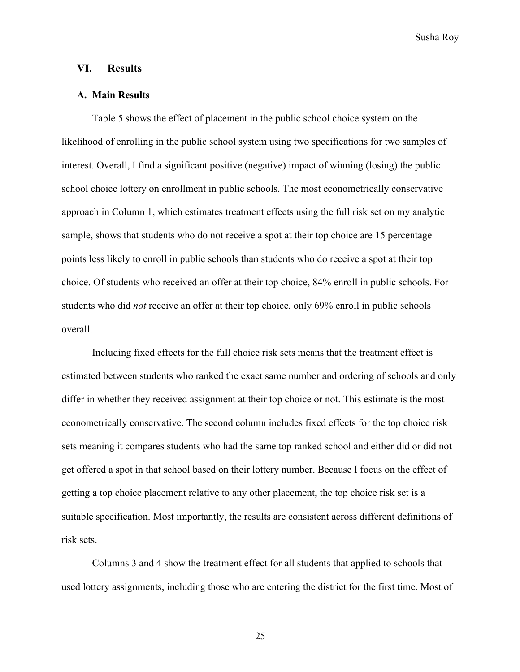# **VI. Results**

#### **A. Main Results**

Table 5 shows the effect of placement in the public school choice system on the likelihood of enrolling in the public school system using two specifications for two samples of interest. Overall, I find a significant positive (negative) impact of winning (losing) the public school choice lottery on enrollment in public schools. The most econometrically conservative approach in Column 1, which estimates treatment effects using the full risk set on my analytic sample, shows that students who do not receive a spot at their top choice are 15 percentage points less likely to enroll in public schools than students who do receive a spot at their top choice. Of students who received an offer at their top choice, 84% enroll in public schools. For students who did *not* receive an offer at their top choice, only 69% enroll in public schools overall.

Including fixed effects for the full choice risk sets means that the treatment effect is estimated between students who ranked the exact same number and ordering of schools and only differ in whether they received assignment at their top choice or not. This estimate is the most econometrically conservative. The second column includes fixed effects for the top choice risk sets meaning it compares students who had the same top ranked school and either did or did not get offered a spot in that school based on their lottery number. Because I focus on the effect of getting a top choice placement relative to any other placement, the top choice risk set is a suitable specification. Most importantly, the results are consistent across different definitions of risk sets.

Columns 3 and 4 show the treatment effect for all students that applied to schools that used lottery assignments, including those who are entering the district for the first time. Most of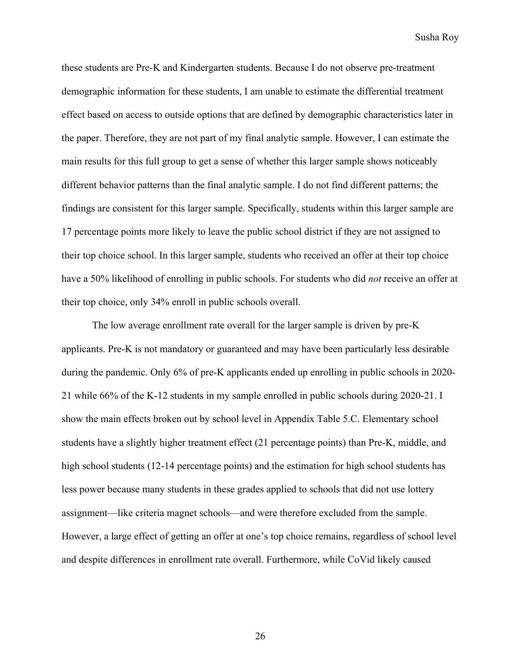these students are Pre-K and Kindergarten students. Because I do not observe pre-treatment demographic information for these students, I am unable to estimate the differential treatment effect based on access to outside options that are defined by demographic characteristics later in the paper. Therefore, they are not part of my final analytic sample. However, I can estimate the main results for this full group to get a sense of whether this larger sample shows noticeably different behavior patterns than the final analytic sample. I do not find different patterns; the findings are consistent for this larger sample. Specifically, students within this larger sample are 17 percentage points more likely to leave the public school district if they are not assigned to their top choice school. In this larger sample, students who received an offer at their top choice have a 50% likelihood of enrolling in public schools. For students who did *not* receive an offer at their top choice, only 34% enroll in public schools overall.

The low average enrollment rate overall for the larger sample is driven by pre-K applicants. Pre-K is not mandatory or guaranteed and may have been particularly less desirable during the pandemic. Only 6% of pre-K applicants ended up enrolling in public schools in 2020- 21 while 66% of the K-12 students in my sample enrolled in public schools during 2020-21. I show the main effects broken out by school level in Appendix Table 5.C. Elementary school students have a slightly higher treatment effect (21 percentage points) than Pre-K, middle, and high school students (12-14 percentage points) and the estimation for high school students has less power because many students in these grades applied to schools that did not use lottery assignment—like criteria magnet schools—and were therefore excluded from the sample. However, a large effect of getting an offer at one's top choice remains, regardless of school level and despite differences in enrollment rate overall. Furthermore, while CoVid likely caused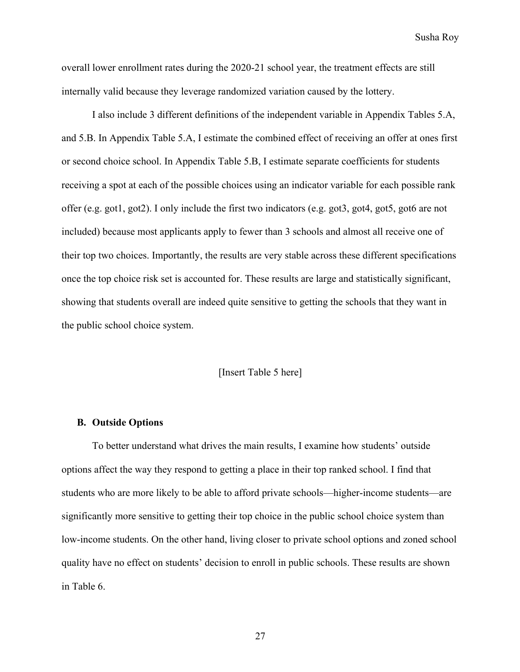overall lower enrollment rates during the 2020-21 school year, the treatment effects are still internally valid because they leverage randomized variation caused by the lottery.

I also include 3 different definitions of the independent variable in Appendix Tables 5.A, and 5.B. In Appendix Table 5.A, I estimate the combined effect of receiving an offer at ones first or second choice school. In Appendix Table 5.B, I estimate separate coefficients for students receiving a spot at each of the possible choices using an indicator variable for each possible rank offer (e.g. got1, got2). I only include the first two indicators (e.g. got3, got4, got5, got6 are not included) because most applicants apply to fewer than 3 schools and almost all receive one of their top two choices. Importantly, the results are very stable across these different specifications once the top choice risk set is accounted for. These results are large and statistically significant, showing that students overall are indeed quite sensitive to getting the schools that they want in the public school choice system.

#### [Insert Table 5 here]

#### **B. Outside Options**

To better understand what drives the main results, I examine how students' outside options affect the way they respond to getting a place in their top ranked school. I find that students who are more likely to be able to afford private schools—higher-income students—are significantly more sensitive to getting their top choice in the public school choice system than low-income students. On the other hand, living closer to private school options and zoned school quality have no effect on students' decision to enroll in public schools. These results are shown in Table 6.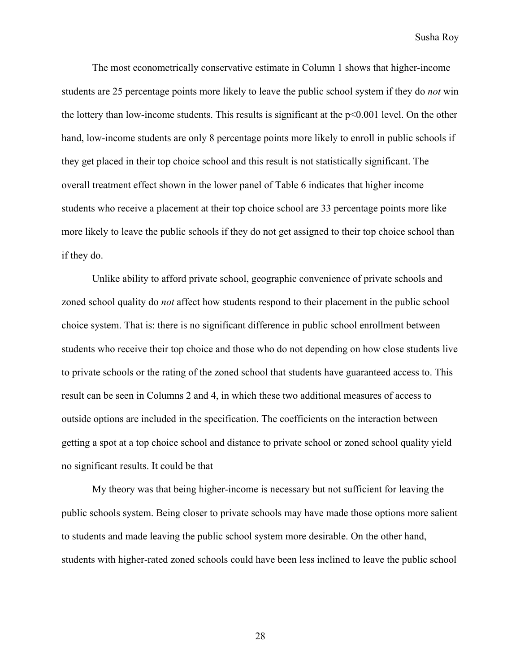The most econometrically conservative estimate in Column 1 shows that higher-income students are 25 percentage points more likely to leave the public school system if they do *not* win the lottery than low-income students. This results is significant at the p<0.001 level. On the other hand, low-income students are only 8 percentage points more likely to enroll in public schools if they get placed in their top choice school and this result is not statistically significant. The overall treatment effect shown in the lower panel of Table 6 indicates that higher income students who receive a placement at their top choice school are 33 percentage points more like more likely to leave the public schools if they do not get assigned to their top choice school than if they do.

Unlike ability to afford private school, geographic convenience of private schools and zoned school quality do *not* affect how students respond to their placement in the public school choice system. That is: there is no significant difference in public school enrollment between students who receive their top choice and those who do not depending on how close students live to private schools or the rating of the zoned school that students have guaranteed access to. This result can be seen in Columns 2 and 4, in which these two additional measures of access to outside options are included in the specification. The coefficients on the interaction between getting a spot at a top choice school and distance to private school or zoned school quality yield no significant results. It could be that

My theory was that being higher-income is necessary but not sufficient for leaving the public schools system. Being closer to private schools may have made those options more salient to students and made leaving the public school system more desirable. On the other hand, students with higher-rated zoned schools could have been less inclined to leave the public school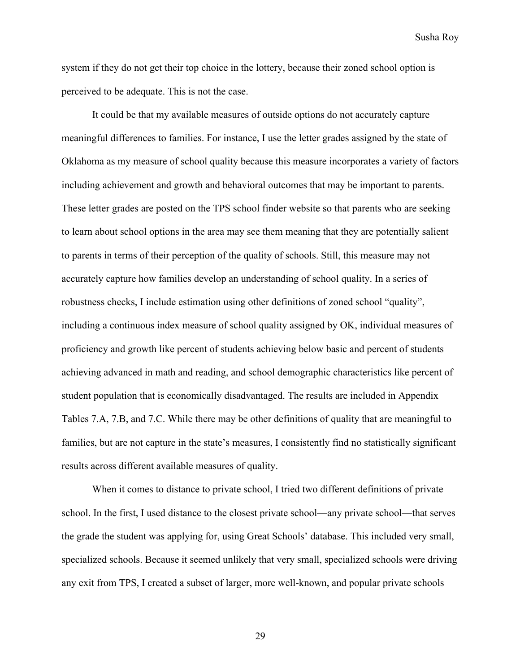system if they do not get their top choice in the lottery, because their zoned school option is perceived to be adequate. This is not the case.

It could be that my available measures of outside options do not accurately capture meaningful differences to families. For instance, I use the letter grades assigned by the state of Oklahoma as my measure of school quality because this measure incorporates a variety of factors including achievement and growth and behavioral outcomes that may be important to parents. These letter grades are posted on the TPS school finder website so that parents who are seeking to learn about school options in the area may see them meaning that they are potentially salient to parents in terms of their perception of the quality of schools. Still, this measure may not accurately capture how families develop an understanding of school quality. In a series of robustness checks, I include estimation using other definitions of zoned school "quality", including a continuous index measure of school quality assigned by OK, individual measures of proficiency and growth like percent of students achieving below basic and percent of students achieving advanced in math and reading, and school demographic characteristics like percent of student population that is economically disadvantaged. The results are included in Appendix Tables 7.A, 7.B, and 7.C. While there may be other definitions of quality that are meaningful to families, but are not capture in the state's measures, I consistently find no statistically significant results across different available measures of quality.

When it comes to distance to private school, I tried two different definitions of private school. In the first, I used distance to the closest private school—any private school—that serves the grade the student was applying for, using Great Schools' database. This included very small, specialized schools. Because it seemed unlikely that very small, specialized schools were driving any exit from TPS, I created a subset of larger, more well-known, and popular private schools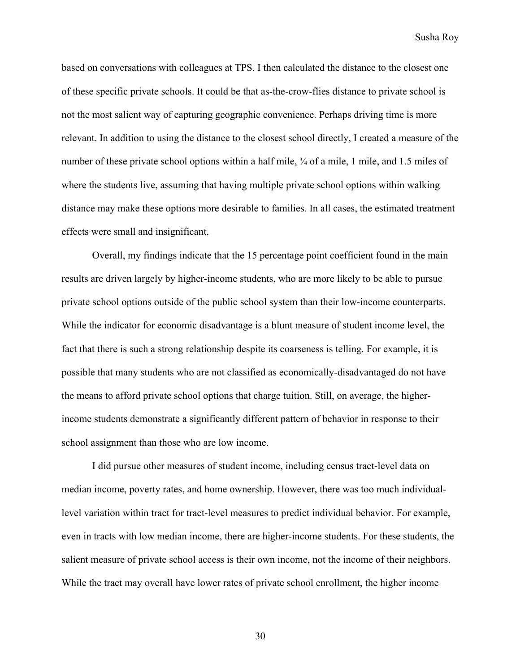based on conversations with colleagues at TPS. I then calculated the distance to the closest one of these specific private schools. It could be that as-the-crow-flies distance to private school is not the most salient way of capturing geographic convenience. Perhaps driving time is more relevant. In addition to using the distance to the closest school directly, I created a measure of the number of these private school options within a half mile,  $\frac{3}{4}$  of a mile, 1 mile, and 1.5 miles of where the students live, assuming that having multiple private school options within walking distance may make these options more desirable to families. In all cases, the estimated treatment effects were small and insignificant.

Overall, my findings indicate that the 15 percentage point coefficient found in the main results are driven largely by higher-income students, who are more likely to be able to pursue private school options outside of the public school system than their low-income counterparts. While the indicator for economic disadvantage is a blunt measure of student income level, the fact that there is such a strong relationship despite its coarseness is telling. For example, it is possible that many students who are not classified as economically-disadvantaged do not have the means to afford private school options that charge tuition. Still, on average, the higherincome students demonstrate a significantly different pattern of behavior in response to their school assignment than those who are low income.

I did pursue other measures of student income, including census tract-level data on median income, poverty rates, and home ownership. However, there was too much individuallevel variation within tract for tract-level measures to predict individual behavior. For example, even in tracts with low median income, there are higher-income students. For these students, the salient measure of private school access is their own income, not the income of their neighbors. While the tract may overall have lower rates of private school enrollment, the higher income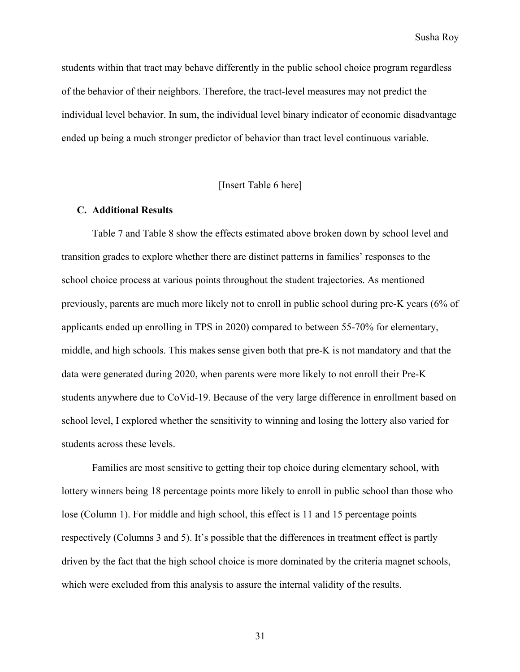students within that tract may behave differently in the public school choice program regardless of the behavior of their neighbors. Therefore, the tract-level measures may not predict the individual level behavior. In sum, the individual level binary indicator of economic disadvantage ended up being a much stronger predictor of behavior than tract level continuous variable.

## [Insert Table 6 here]

#### **C. Additional Results**

Table 7 and Table 8 show the effects estimated above broken down by school level and transition grades to explore whether there are distinct patterns in families' responses to the school choice process at various points throughout the student trajectories. As mentioned previously, parents are much more likely not to enroll in public school during pre-K years (6% of applicants ended up enrolling in TPS in 2020) compared to between 55-70% for elementary, middle, and high schools. This makes sense given both that pre-K is not mandatory and that the data were generated during 2020, when parents were more likely to not enroll their Pre-K students anywhere due to CoVid-19. Because of the very large difference in enrollment based on school level, I explored whether the sensitivity to winning and losing the lottery also varied for students across these levels.

Families are most sensitive to getting their top choice during elementary school, with lottery winners being 18 percentage points more likely to enroll in public school than those who lose (Column 1). For middle and high school, this effect is 11 and 15 percentage points respectively (Columns 3 and 5). It's possible that the differences in treatment effect is partly driven by the fact that the high school choice is more dominated by the criteria magnet schools, which were excluded from this analysis to assure the internal validity of the results.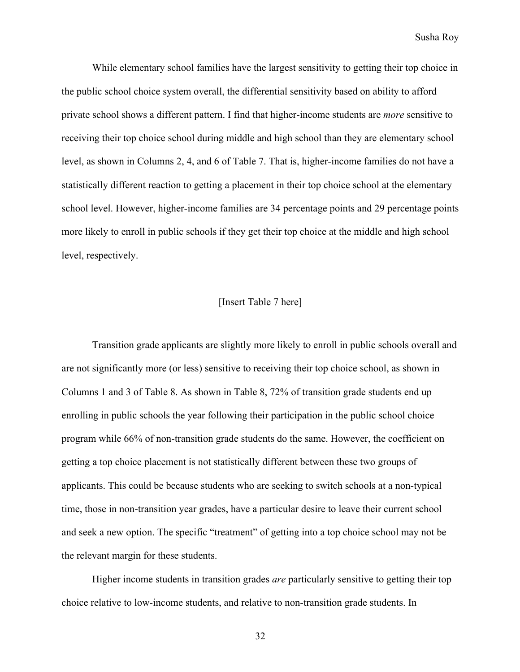While elementary school families have the largest sensitivity to getting their top choice in the public school choice system overall, the differential sensitivity based on ability to afford private school shows a different pattern. I find that higher-income students are *more* sensitive to receiving their top choice school during middle and high school than they are elementary school level, as shown in Columns 2, 4, and 6 of Table 7. That is, higher-income families do not have a statistically different reaction to getting a placement in their top choice school at the elementary school level. However, higher-income families are 34 percentage points and 29 percentage points more likely to enroll in public schools if they get their top choice at the middle and high school level, respectively.

#### [Insert Table 7 here]

Transition grade applicants are slightly more likely to enroll in public schools overall and are not significantly more (or less) sensitive to receiving their top choice school, as shown in Columns 1 and 3 of Table 8. As shown in Table 8, 72% of transition grade students end up enrolling in public schools the year following their participation in the public school choice program while 66% of non-transition grade students do the same. However, the coefficient on getting a top choice placement is not statistically different between these two groups of applicants. This could be because students who are seeking to switch schools at a non-typical time, those in non-transition year grades, have a particular desire to leave their current school and seek a new option. The specific "treatment" of getting into a top choice school may not be the relevant margin for these students.

Higher income students in transition grades *are* particularly sensitive to getting their top choice relative to low-income students, and relative to non-transition grade students. In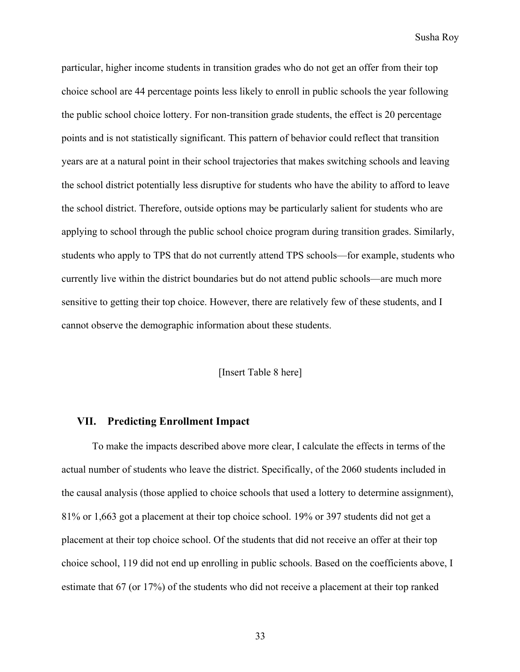particular, higher income students in transition grades who do not get an offer from their top choice school are 44 percentage points less likely to enroll in public schools the year following the public school choice lottery. For non-transition grade students, the effect is 20 percentage points and is not statistically significant. This pattern of behavior could reflect that transition years are at a natural point in their school trajectories that makes switching schools and leaving the school district potentially less disruptive for students who have the ability to afford to leave the school district. Therefore, outside options may be particularly salient for students who are applying to school through the public school choice program during transition grades. Similarly, students who apply to TPS that do not currently attend TPS schools—for example, students who currently live within the district boundaries but do not attend public schools—are much more sensitive to getting their top choice. However, there are relatively few of these students, and I cannot observe the demographic information about these students.

#### [Insert Table 8 here]

#### **VII. Predicting Enrollment Impact**

To make the impacts described above more clear, I calculate the effects in terms of the actual number of students who leave the district. Specifically, of the 2060 students included in the causal analysis (those applied to choice schools that used a lottery to determine assignment), 81% or 1,663 got a placement at their top choice school. 19% or 397 students did not get a placement at their top choice school. Of the students that did not receive an offer at their top choice school, 119 did not end up enrolling in public schools. Based on the coefficients above, I estimate that 67 (or 17%) of the students who did not receive a placement at their top ranked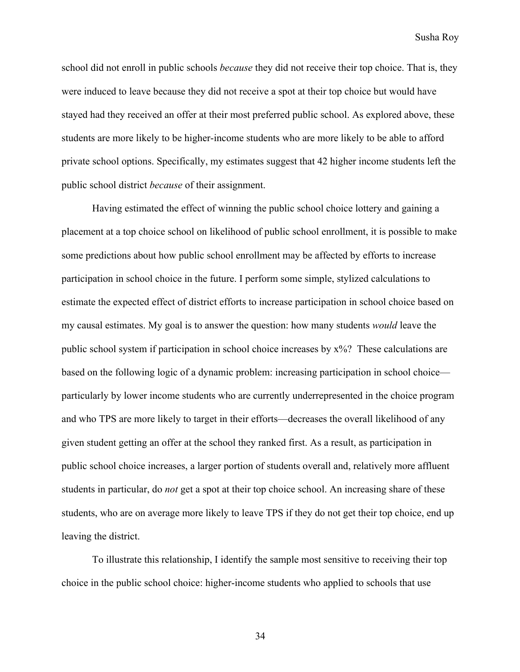school did not enroll in public schools *because* they did not receive their top choice. That is, they were induced to leave because they did not receive a spot at their top choice but would have stayed had they received an offer at their most preferred public school. As explored above, these students are more likely to be higher-income students who are more likely to be able to afford private school options. Specifically, my estimates suggest that 42 higher income students left the public school district *because* of their assignment.

Having estimated the effect of winning the public school choice lottery and gaining a placement at a top choice school on likelihood of public school enrollment, it is possible to make some predictions about how public school enrollment may be affected by efforts to increase participation in school choice in the future. I perform some simple, stylized calculations to estimate the expected effect of district efforts to increase participation in school choice based on my causal estimates. My goal is to answer the question: how many students *would* leave the public school system if participation in school choice increases by x%? These calculations are based on the following logic of a dynamic problem: increasing participation in school choice particularly by lower income students who are currently underrepresented in the choice program and who TPS are more likely to target in their efforts—decreases the overall likelihood of any given student getting an offer at the school they ranked first. As a result, as participation in public school choice increases, a larger portion of students overall and, relatively more affluent students in particular, do *not* get a spot at their top choice school. An increasing share of these students, who are on average more likely to leave TPS if they do not get their top choice, end up leaving the district.

To illustrate this relationship, I identify the sample most sensitive to receiving their top choice in the public school choice: higher-income students who applied to schools that use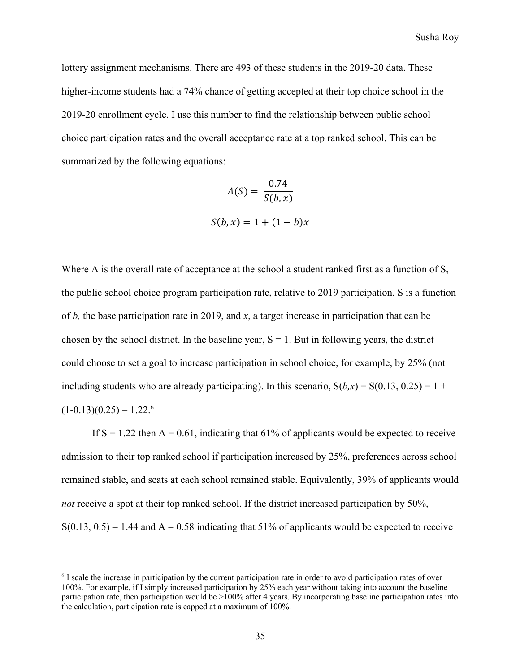lottery assignment mechanisms. There are 493 of these students in the 2019-20 data. These higher-income students had a 74% chance of getting accepted at their top choice school in the 2019-20 enrollment cycle. I use this number to find the relationship between public school choice participation rates and the overall acceptance rate at a top ranked school. This can be summarized by the following equations:

$$
A(S) = \frac{0.74}{S(b, x)}
$$

$$
S(b, x) = 1 + (1 - b)x
$$

Where A is the overall rate of acceptance at the school a student ranked first as a function of S, the public school choice program participation rate, relative to 2019 participation. S is a function of *b,* the base participation rate in 2019, and *x*, a target increase in participation that can be chosen by the school district. In the baseline year,  $S = 1$ . But in following years, the district could choose to set a goal to increase participation in school choice, for example, by 25% (not including students who are already participating). In this scenario,  $S(b,x) = S(0.13, 0.25) = 1 +$  $(1-0.13)(0.25) = 1.22$ <sup>6</sup>

If  $S = 1.22$  then  $A = 0.61$ , indicating that 61% of applicants would be expected to receive admission to their top ranked school if participation increased by 25%, preferences across school remained stable, and seats at each school remained stable. Equivalently, 39% of applicants would *not* receive a spot at their top ranked school. If the district increased participation by 50%,  $S(0.13, 0.5) = 1.44$  and  $A = 0.58$  indicating that 51% of applicants would be expected to receive

<sup>&</sup>lt;sup>6</sup> I scale the increase in participation by the current participation rate in order to avoid participation rates of over 100%. For example, if I simply increased participation by 25% each year without taking into account the baseline participation rate, then participation would be >100% after 4 years. By incorporating baseline participation rates into the calculation, participation rate is capped at a maximum of 100%.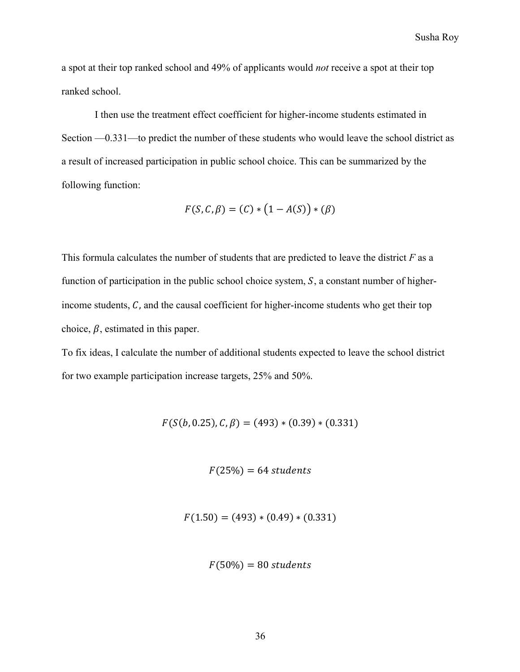a spot at their top ranked school and 49% of applicants would *not* receive a spot at their top ranked school.

I then use the treatment effect coefficient for higher-income students estimated in Section —0.331—to predict the number of these students who would leave the school district as a result of increased participation in public school choice. This can be summarized by the following function:

$$
F(S, C, \beta) = (C) * (1 - A(S)) * (\beta)
$$

This formula calculates the number of students that are predicted to leave the district *F* as a function of participation in the public school choice system,  $S$ , a constant number of higherincome students,  $C$ , and the causal coefficient for higher-income students who get their top choice,  $\beta$ , estimated in this paper.

To fix ideas, I calculate the number of additional students expected to leave the school district for two example participation increase targets, 25% and 50%.

 $F(S(b, 0.25), C, \beta) = (493) * (0.39) * (0.331)$ 

 $F(25%) = 64$  students

 $F(1.50) = (493) * (0.49) * (0.331)$ 

 $F(50\%) = 80$  students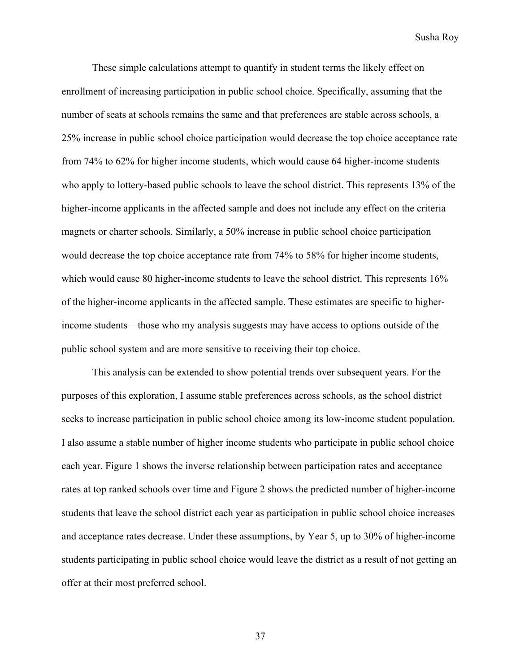These simple calculations attempt to quantify in student terms the likely effect on enrollment of increasing participation in public school choice. Specifically, assuming that the number of seats at schools remains the same and that preferences are stable across schools, a 25% increase in public school choice participation would decrease the top choice acceptance rate from 74% to 62% for higher income students, which would cause 64 higher-income students who apply to lottery-based public schools to leave the school district. This represents 13% of the higher-income applicants in the affected sample and does not include any effect on the criteria magnets or charter schools. Similarly, a 50% increase in public school choice participation would decrease the top choice acceptance rate from 74% to 58% for higher income students, which would cause 80 higher-income students to leave the school district. This represents 16% of the higher-income applicants in the affected sample. These estimates are specific to higherincome students—those who my analysis suggests may have access to options outside of the public school system and are more sensitive to receiving their top choice.

This analysis can be extended to show potential trends over subsequent years. For the purposes of this exploration, I assume stable preferences across schools, as the school district seeks to increase participation in public school choice among its low-income student population. I also assume a stable number of higher income students who participate in public school choice each year. Figure 1 shows the inverse relationship between participation rates and acceptance rates at top ranked schools over time and Figure 2 shows the predicted number of higher-income students that leave the school district each year as participation in public school choice increases and acceptance rates decrease. Under these assumptions, by Year 5, up to 30% of higher-income students participating in public school choice would leave the district as a result of not getting an offer at their most preferred school.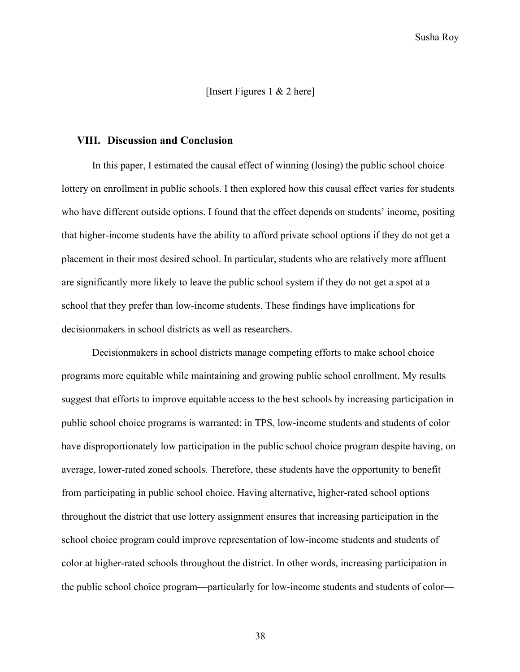[Insert Figures 1 & 2 here]

#### **VIII. Discussion and Conclusion**

In this paper, I estimated the causal effect of winning (losing) the public school choice lottery on enrollment in public schools. I then explored how this causal effect varies for students who have different outside options. I found that the effect depends on students' income, positing that higher-income students have the ability to afford private school options if they do not get a placement in their most desired school. In particular, students who are relatively more affluent are significantly more likely to leave the public school system if they do not get a spot at a school that they prefer than low-income students. These findings have implications for decisionmakers in school districts as well as researchers.

Decisionmakers in school districts manage competing efforts to make school choice programs more equitable while maintaining and growing public school enrollment. My results suggest that efforts to improve equitable access to the best schools by increasing participation in public school choice programs is warranted: in TPS, low-income students and students of color have disproportionately low participation in the public school choice program despite having, on average, lower-rated zoned schools. Therefore, these students have the opportunity to benefit from participating in public school choice. Having alternative, higher-rated school options throughout the district that use lottery assignment ensures that increasing participation in the school choice program could improve representation of low-income students and students of color at higher-rated schools throughout the district. In other words, increasing participation in the public school choice program—particularly for low-income students and students of color—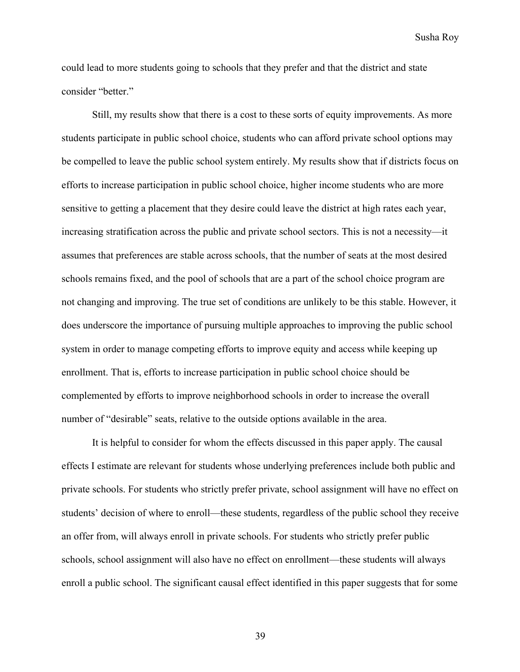could lead to more students going to schools that they prefer and that the district and state consider "better."

Still, my results show that there is a cost to these sorts of equity improvements. As more students participate in public school choice, students who can afford private school options may be compelled to leave the public school system entirely. My results show that if districts focus on efforts to increase participation in public school choice, higher income students who are more sensitive to getting a placement that they desire could leave the district at high rates each year, increasing stratification across the public and private school sectors. This is not a necessity—it assumes that preferences are stable across schools, that the number of seats at the most desired schools remains fixed, and the pool of schools that are a part of the school choice program are not changing and improving. The true set of conditions are unlikely to be this stable. However, it does underscore the importance of pursuing multiple approaches to improving the public school system in order to manage competing efforts to improve equity and access while keeping up enrollment. That is, efforts to increase participation in public school choice should be complemented by efforts to improve neighborhood schools in order to increase the overall number of "desirable" seats, relative to the outside options available in the area.

It is helpful to consider for whom the effects discussed in this paper apply. The causal effects I estimate are relevant for students whose underlying preferences include both public and private schools. For students who strictly prefer private, school assignment will have no effect on students' decision of where to enroll—these students, regardless of the public school they receive an offer from, will always enroll in private schools. For students who strictly prefer public schools, school assignment will also have no effect on enrollment—these students will always enroll a public school. The significant causal effect identified in this paper suggests that for some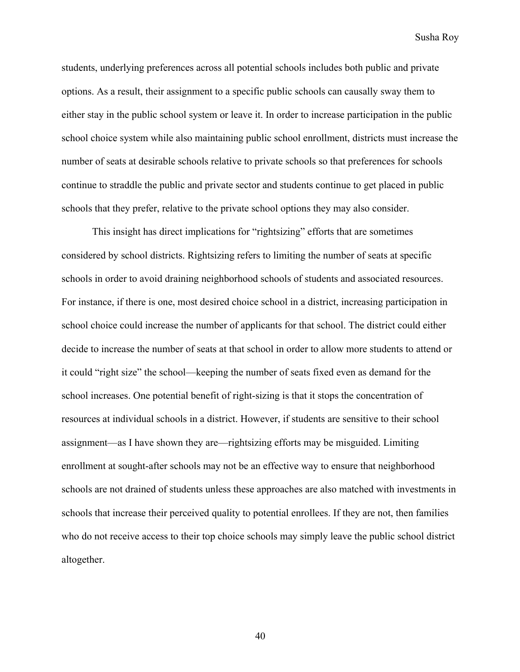students, underlying preferences across all potential schools includes both public and private options. As a result, their assignment to a specific public schools can causally sway them to either stay in the public school system or leave it. In order to increase participation in the public school choice system while also maintaining public school enrollment, districts must increase the number of seats at desirable schools relative to private schools so that preferences for schools continue to straddle the public and private sector and students continue to get placed in public schools that they prefer, relative to the private school options they may also consider.

This insight has direct implications for "rightsizing" efforts that are sometimes considered by school districts. Rightsizing refers to limiting the number of seats at specific schools in order to avoid draining neighborhood schools of students and associated resources. For instance, if there is one, most desired choice school in a district, increasing participation in school choice could increase the number of applicants for that school. The district could either decide to increase the number of seats at that school in order to allow more students to attend or it could "right size" the school—keeping the number of seats fixed even as demand for the school increases. One potential benefit of right-sizing is that it stops the concentration of resources at individual schools in a district. However, if students are sensitive to their school assignment—as I have shown they are—rightsizing efforts may be misguided. Limiting enrollment at sought-after schools may not be an effective way to ensure that neighborhood schools are not drained of students unless these approaches are also matched with investments in schools that increase their perceived quality to potential enrollees. If they are not, then families who do not receive access to their top choice schools may simply leave the public school district altogether.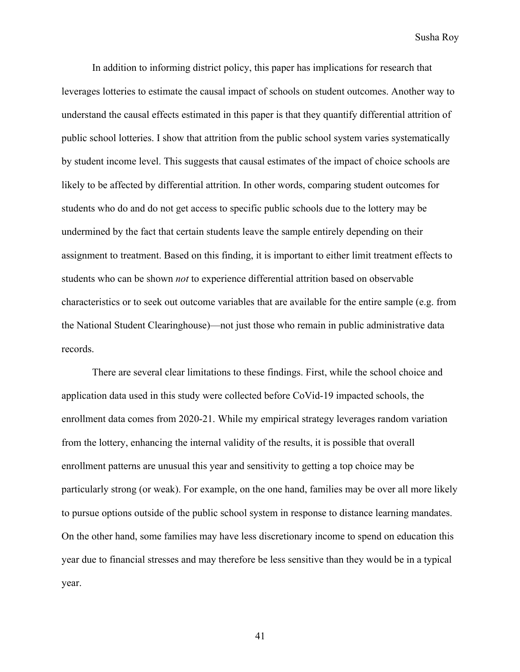In addition to informing district policy, this paper has implications for research that leverages lotteries to estimate the causal impact of schools on student outcomes. Another way to understand the causal effects estimated in this paper is that they quantify differential attrition of public school lotteries. I show that attrition from the public school system varies systematically by student income level. This suggests that causal estimates of the impact of choice schools are likely to be affected by differential attrition. In other words, comparing student outcomes for students who do and do not get access to specific public schools due to the lottery may be undermined by the fact that certain students leave the sample entirely depending on their assignment to treatment. Based on this finding, it is important to either limit treatment effects to students who can be shown *not* to experience differential attrition based on observable characteristics or to seek out outcome variables that are available for the entire sample (e.g. from the National Student Clearinghouse)—not just those who remain in public administrative data records.

There are several clear limitations to these findings. First, while the school choice and application data used in this study were collected before CoVid-19 impacted schools, the enrollment data comes from 2020-21. While my empirical strategy leverages random variation from the lottery, enhancing the internal validity of the results, it is possible that overall enrollment patterns are unusual this year and sensitivity to getting a top choice may be particularly strong (or weak). For example, on the one hand, families may be over all more likely to pursue options outside of the public school system in response to distance learning mandates. On the other hand, some families may have less discretionary income to spend on education this year due to financial stresses and may therefore be less sensitive than they would be in a typical year.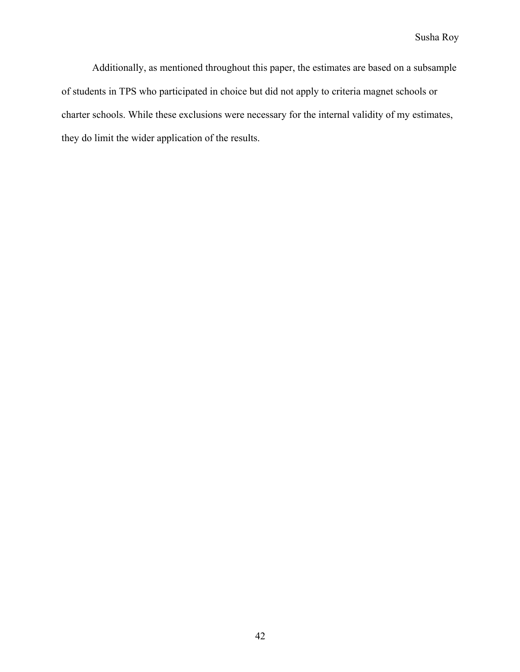Additionally, as mentioned throughout this paper, the estimates are based on a subsample of students in TPS who participated in choice but did not apply to criteria magnet schools or charter schools. While these exclusions were necessary for the internal validity of my estimates, they do limit the wider application of the results.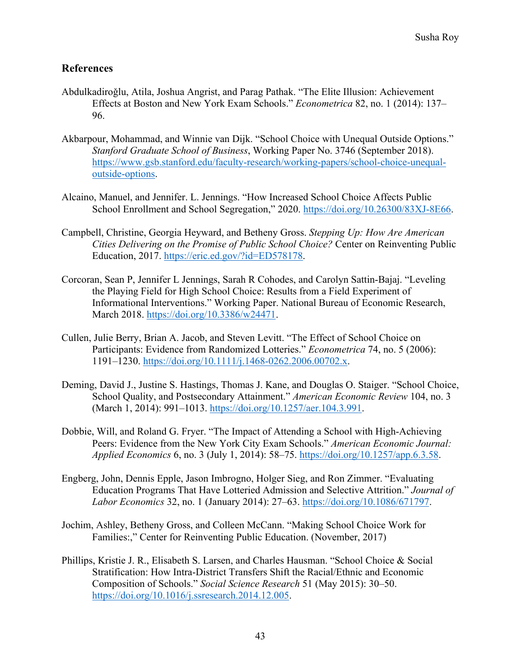# **References**

- Abdulkadiroǧlu, Atila, Joshua Angrist, and Parag Pathak. "The Elite Illusion: Achievement Effects at Boston and New York Exam Schools." *Econometrica* 82, no. 1 (2014): 137– 96.
- Akbarpour, Mohammad, and Winnie van Dijk. "School Choice with Unequal Outside Options." *Stanford Graduate School of Business*, Working Paper No. 3746 (September 2018). https://www.gsb.stanford.edu/faculty-research/working-papers/school-choice-unequaloutside-options.
- Alcaino, Manuel, and Jennifer. L. Jennings. "How Increased School Choice Affects Public School Enrollment and School Segregation," 2020. https://doi.org/10.26300/83XJ-8E66.
- Campbell, Christine, Georgia Heyward, and Betheny Gross. *Stepping Up: How Are American Cities Delivering on the Promise of Public School Choice?* Center on Reinventing Public Education, 2017. https://eric.ed.gov/?id=ED578178.
- Corcoran, Sean P, Jennifer L Jennings, Sarah R Cohodes, and Carolyn Sattin-Bajaj. "Leveling the Playing Field for High School Choice: Results from a Field Experiment of Informational Interventions." Working Paper. National Bureau of Economic Research, March 2018. https://doi.org/10.3386/w24471.
- Cullen, Julie Berry, Brian A. Jacob, and Steven Levitt. "The Effect of School Choice on Participants: Evidence from Randomized Lotteries." *Econometrica* 74, no. 5 (2006): 1191–1230. https://doi.org/10.1111/j.1468-0262.2006.00702.x.
- Deming, David J., Justine S. Hastings, Thomas J. Kane, and Douglas O. Staiger. "School Choice, School Quality, and Postsecondary Attainment." *American Economic Review* 104, no. 3 (March 1, 2014): 991–1013. https://doi.org/10.1257/aer.104.3.991.
- Dobbie, Will, and Roland G. Fryer. "The Impact of Attending a School with High-Achieving Peers: Evidence from the New York City Exam Schools." *American Economic Journal: Applied Economics* 6, no. 3 (July 1, 2014): 58–75. https://doi.org/10.1257/app.6.3.58.
- Engberg, John, Dennis Epple, Jason Imbrogno, Holger Sieg, and Ron Zimmer. "Evaluating Education Programs That Have Lotteried Admission and Selective Attrition." *Journal of Labor Economics* 32, no. 1 (January 2014): 27–63. https://doi.org/10.1086/671797.
- Jochim, Ashley, Betheny Gross, and Colleen McCann. "Making School Choice Work for Families:," Center for Reinventing Public Education. (November, 2017)
- Phillips, Kristie J. R., Elisabeth S. Larsen, and Charles Hausman. "School Choice & Social Stratification: How Intra-District Transfers Shift the Racial/Ethnic and Economic Composition of Schools." *Social Science Research* 51 (May 2015): 30–50. https://doi.org/10.1016/j.ssresearch.2014.12.005.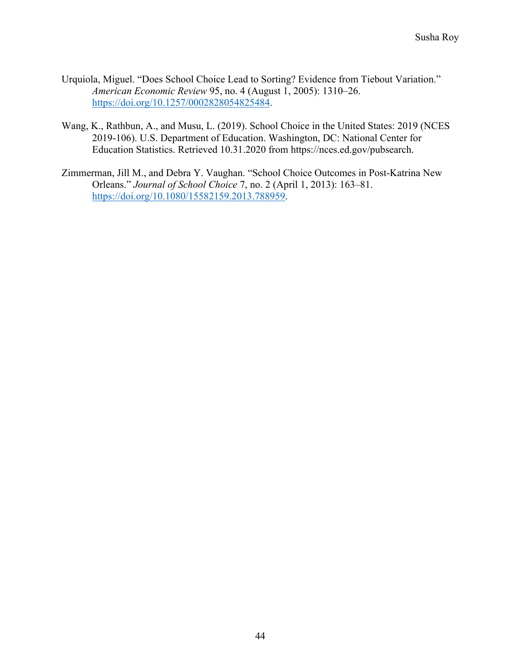- Urquiola, Miguel. "Does School Choice Lead to Sorting? Evidence from Tiebout Variation." *American Economic Review* 95, no. 4 (August 1, 2005): 1310–26. https://doi.org/10.1257/0002828054825484.
- Wang, K., Rathbun, A., and Musu, L. (2019). School Choice in the United States: 2019 (NCES 2019-106). U.S. Department of Education. Washington, DC: National Center for Education Statistics. Retrieved 10.31.2020 from https://nces.ed.gov/pubsearch.
- Zimmerman, Jill M., and Debra Y. Vaughan. "School Choice Outcomes in Post-Katrina New Orleans." *Journal of School Choice* 7, no. 2 (April 1, 2013): 163–81. https://doi.org/10.1080/15582159.2013.788959.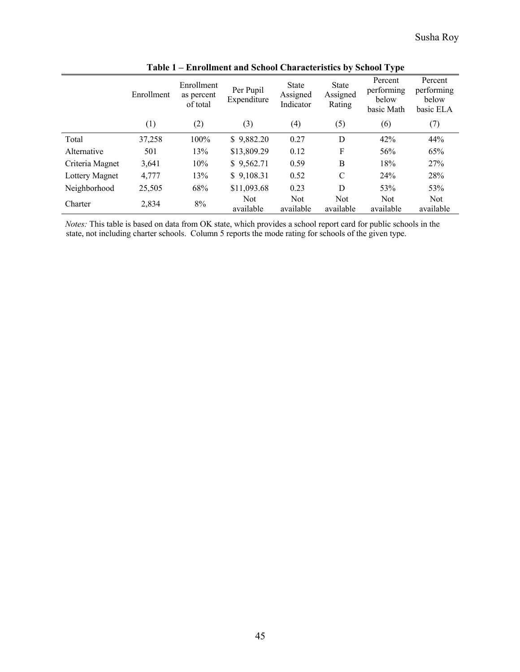|                 | Enrollment | Enrollment<br>as percent<br>of total | Per Pupil<br>Expenditure | <b>State</b><br>Assigned<br>Indicator | <b>State</b><br>Assigned<br>Rating | Percent<br>performing<br>below<br>basic Math | Percent<br>performing<br>below<br>basic ELA |
|-----------------|------------|--------------------------------------|--------------------------|---------------------------------------|------------------------------------|----------------------------------------------|---------------------------------------------|
|                 | (1)        | (2)                                  | (3)                      | (4)                                   | (5)                                | (6)                                          | (7)                                         |
| Total           | 37,258     | 100%                                 | \$9,882.20               | 0.27                                  | D                                  | 42%                                          | 44%                                         |
| Alternative     | 501        | 13%                                  | \$13,809.29              | 0.12                                  | F                                  | 56%                                          | 65%                                         |
| Criteria Magnet | 3,641      | 10%                                  | \$9,562.71               | 0.59                                  | B                                  | 18%                                          | 27%                                         |
| Lottery Magnet  | 4,777      | 13%                                  | \$9,108.31               | 0.52                                  | C                                  | 24%                                          | 28%                                         |
| Neighborhood    | 25,505     | 68%                                  | \$11,093.68              | 0.23                                  | D                                  | 53%                                          | 53%                                         |
| Charter         | 2,834      | 8%                                   | <b>Not</b><br>available  | Not<br>available                      | <b>Not</b><br>available            | <b>Not</b><br>available                      | Not<br>available                            |

**Table 1 – Enrollment and School Characteristics by School Type** 

*Notes:* This table is based on data from OK state, which provides a school report card for public schools in the state, not including charter schools. Column 5 reports the mode rating for schools of the given type.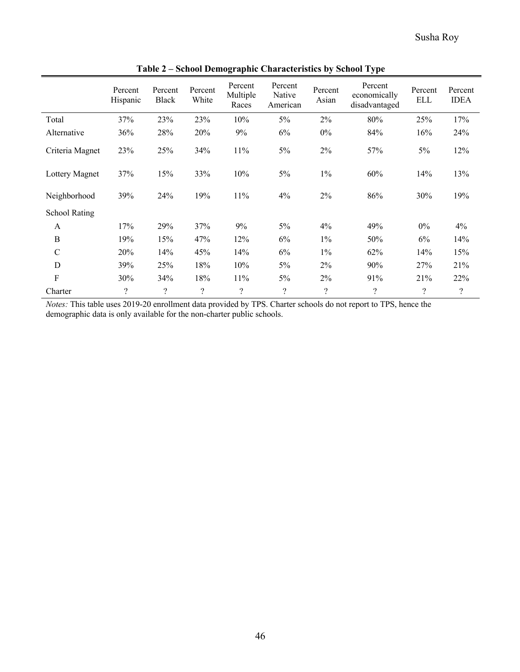|                      |                          |                         |                    | ™.<br>Percent            | Percent            |                    | ◡▁<br>Percent                 |                          |                        |
|----------------------|--------------------------|-------------------------|--------------------|--------------------------|--------------------|--------------------|-------------------------------|--------------------------|------------------------|
|                      | Percent<br>Hispanic      | Percent<br><b>Black</b> | Percent<br>White   | Multiple<br>Races        | Native<br>American | Percent<br>Asian   | economically<br>disadvantaged | Percent<br><b>ELL</b>    | Percent<br><b>IDEA</b> |
| Total                | 37%                      | 23%                     | 23%                | 10%                      | 5%                 | 2%                 | 80%                           | 25%                      | 17%                    |
| Alternative          | 36%                      | 28%                     | 20%                | 9%                       | 6%                 | $0\%$              | 84%                           | 16%                      | 24%                    |
| Criteria Magnet      | 23%                      | 25%                     | 34%                | 11%                      | 5%                 | 2%                 | 57%                           | 5%                       | 12%                    |
| Lottery Magnet       | 37%                      | 15%                     | 33%                | 10%                      | $5\%$              | $1\%$              | 60%                           | 14%                      | 13%                    |
| Neighborhood         | 39%                      | 24%                     | 19%                | 11%                      | 4%                 | 2%                 | 86%                           | 30%                      | 19%                    |
| <b>School Rating</b> |                          |                         |                    |                          |                    |                    |                               |                          |                        |
| A                    | 17%                      | 29%                     | 37%                | 9%                       | $5\%$              | 4%                 | 49%                           | $0\%$                    | 4%                     |
| B                    | 19%                      | 15%                     | 47%                | 12%                      | 6%                 | $1\%$              | 50%                           | 6%                       | 14%                    |
| $\mathcal{C}$        | 20%                      | 14%                     | 45%                | 14%                      | 6%                 | $1\%$              | 62%                           | 14%                      | 15%                    |
| D                    | 39%                      | 25%                     | 18%                | 10%                      | 5%                 | 2%                 | 90%                           | 27%                      | 21%                    |
| $\rm F$              | 30%                      | 34%                     | 18%                | 11%                      | $5\%$              | 2%                 | 91%                           | 21%                      | 22%                    |
| Charter              | $\overline{\mathcal{L}}$ | $\ddot{?}$              | $\overline{\cdot}$ | $\overline{\mathcal{L}}$ | $\overline{\cdot}$ | $\overline{\cdot}$ | $\overline{\mathcal{L}}$      | $\overline{\mathcal{L}}$ | $\ddot{?}$             |

**Table 2 – School Demographic Characteristics by School Type**

*Notes:* This table uses 2019-20 enrollment data provided by TPS. Charter schools do not report to TPS, hence the demographic data is only available for the non-charter public schools.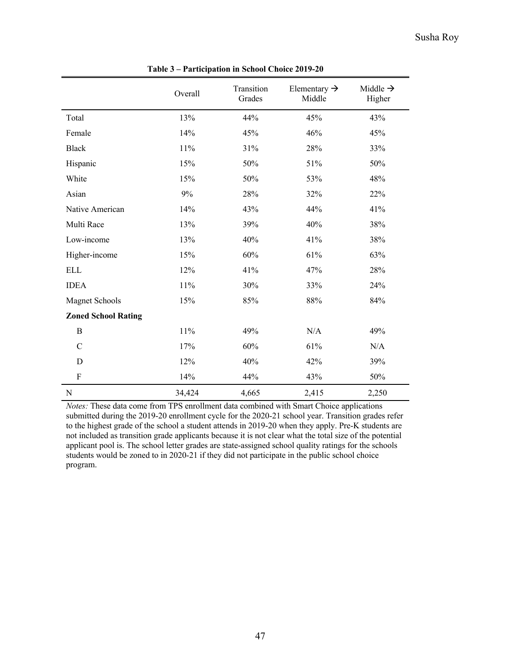|                            | Overall | Transition<br>Grades | Elementary $\rightarrow$<br>Middle | Middle $\rightarrow$<br>Higher |
|----------------------------|---------|----------------------|------------------------------------|--------------------------------|
| Total                      | 13%     | 44%                  | 45%                                | 43%                            |
| Female                     | 14%     | 45%                  | 46%                                | 45%                            |
| <b>Black</b>               | 11%     | 31%                  | 28%                                | 33%                            |
| Hispanic                   | 15%     | 50%                  | 51%                                | 50%                            |
| White                      | 15%     | 50%                  | 53%                                | 48%                            |
| Asian                      | 9%      | 28%                  | 32%                                | 22%                            |
| Native American            | 14%     | 43%                  | 44%                                | 41%                            |
| Multi Race                 | 13%     | 39%                  | 40%                                | 38%                            |
| Low-income                 | 13%     | 40%                  | 41%                                | 38%                            |
| Higher-income              | 15%     | 60%                  | 61%                                | 63%                            |
| <b>ELL</b>                 | 12%     | 41%                  | 47%                                | 28%                            |
| <b>IDEA</b>                | 11%     | 30%                  | 33%                                | 24%                            |
| <b>Magnet Schools</b>      | 15%     | 85%                  | 88%                                | 84%                            |
| <b>Zoned School Rating</b> |         |                      |                                    |                                |
| $\, {\bf B}$               | $11\%$  | 49%                  | N/A                                | 49%                            |
| $\mathbf C$                | 17%     | 60%                  | 61%                                | N/A                            |
| D                          | 12%     | 40%                  | 42%                                | 39%                            |
| $\mathbf{F}$               | 14%     | 44%                  | 43%                                | 50%                            |
| N                          | 34,424  | 4,665                | 2,415                              | 2,250                          |

**Table 3 – Participation in School Choice 2019-20**

*Notes:* These data come from TPS enrollment data combined with Smart Choice applications submitted during the 2019-20 enrollment cycle for the 2020-21 school year. Transition grades refer to the highest grade of the school a student attends in 2019-20 when they apply. Pre-K students are not included as transition grade applicants because it is not clear what the total size of the potential applicant pool is. The school letter grades are state-assigned school quality ratings for the schools students would be zoned to in 2020-21 if they did not participate in the public school choice program.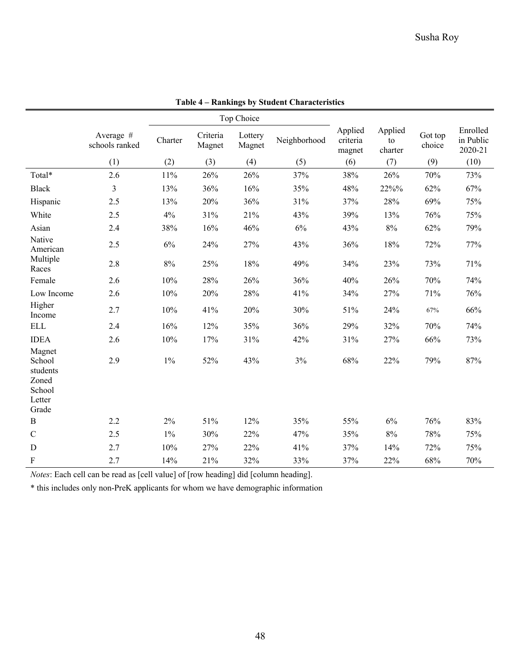|                                                           |                             |         |                    | Top Choice        |              |                               |                          |                   |                                  |
|-----------------------------------------------------------|-----------------------------|---------|--------------------|-------------------|--------------|-------------------------------|--------------------------|-------------------|----------------------------------|
|                                                           | Average #<br>schools ranked | Charter | Criteria<br>Magnet | Lottery<br>Magnet | Neighborhood | Applied<br>criteria<br>magnet | Applied<br>to<br>charter | Got top<br>choice | Enrolled<br>in Public<br>2020-21 |
|                                                           | (1)                         | (2)     | (3)                | (4)               | (5)          | (6)                           | (7)                      | (9)               | (10)                             |
| Total*                                                    | 2.6                         | 11%     | 26%                | 26%               | 37%          | 38%                           | 26%                      | 70%               | 73%                              |
| <b>Black</b>                                              | 3                           | 13%     | 36%                | 16%               | 35%          | 48%                           | 22%%                     | 62%               | 67%                              |
| Hispanic                                                  | 2.5                         | 13%     | 20%                | 36%               | 31%          | 37%                           | 28%                      | 69%               | 75%                              |
| White                                                     | 2.5                         | 4%      | 31%                | 21%               | 43%          | 39%                           | 13%                      | 76%               | 75%                              |
| Asian                                                     | 2.4                         | 38%     | 16%                | 46%               | 6%           | 43%                           | $8\%$                    | 62%               | 79%                              |
| Native<br>American                                        | 2.5                         | 6%      | 24%                | 27%               | 43%          | 36%                           | 18%                      | 72%               | 77%                              |
| Multiple<br>Races                                         | 2.8                         | $8\%$   | 25%                | 18%               | 49%          | 34%                           | 23%                      | 73%               | 71%                              |
| Female                                                    | 2.6                         | 10%     | 28%                | 26%               | 36%          | 40%                           | 26%                      | 70%               | 74%                              |
| Low Income                                                | 2.6                         | 10%     | 20%                | 28%               | 41%          | 34%                           | 27%                      | 71%               | 76%                              |
| Higher<br>Income                                          | 2.7                         | 10%     | 41%                | 20%               | 30%          | 51%                           | 24%                      | 67%               | 66%                              |
| <b>ELL</b>                                                | 2.4                         | 16%     | 12%                | 35%               | 36%          | 29%                           | 32%                      | 70%               | 74%                              |
| <b>IDEA</b>                                               | 2.6                         | 10%     | 17%                | 31%               | 42%          | 31%                           | 27%                      | 66%               | 73%                              |
| Magnet<br>School<br>students<br>Zoned<br>School<br>Letter | 2.9                         | $1\%$   | 52%                | 43%               | 3%           | 68%                           | 22%                      | 79%               | 87%                              |
| Grade                                                     |                             |         |                    |                   |              |                               |                          |                   |                                  |
| $\, {\bf B}$                                              | 2.2                         | 2%      | 51%                | 12%               | 35%          | 55%                           | 6%                       | 76%               | 83%                              |
| $\mathcal{C}$                                             | 2.5                         | $1\%$   | 30%                | 22%               | 47%          | 35%                           | $8\%$                    | 78%               | 75%                              |
| D                                                         | 2.7                         | 10%     | 27%                | 22%               | 41%          | 37%                           | 14%                      | 72%               | 75%                              |
| F                                                         | 2.7                         | 14%     | 21%                | 32%               | 33%          | 37%                           | 22%                      | 68%               | 70%                              |

**Table 4 – Rankings by Student Characteristics**

*Notes*: Each cell can be read as [cell value] of [row heading] did [column heading].

\* this includes only non-PreK applicants for whom we have demographic information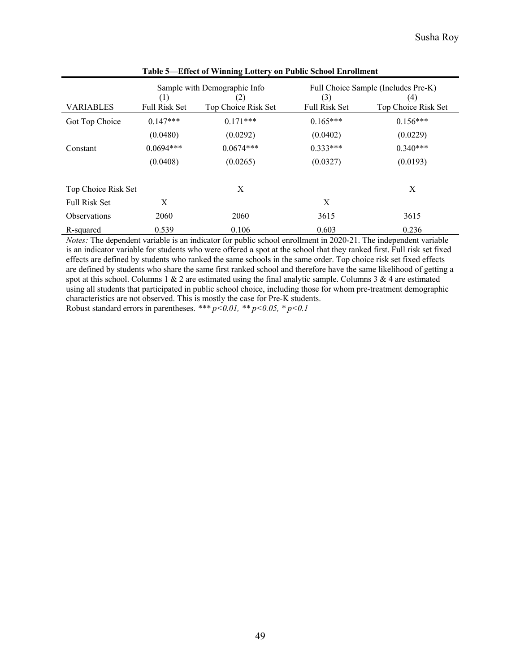|                      |                             | Sample with Demographic Info |                             | Full Choice Sample (Includes Pre-K)      |
|----------------------|-----------------------------|------------------------------|-----------------------------|------------------------------------------|
| <b>VARIABLES</b>     | (1)<br><b>Full Risk Set</b> | (2)<br>Top Choice Risk Set   | (3)<br><b>Full Risk Set</b> | $\left( 4\right)$<br>Top Choice Risk Set |
| Got Top Choice       | $0.147***$                  | $0.171***$                   | $0.165***$                  | $0.156***$                               |
|                      | (0.0480)                    | (0.0292)                     | (0.0402)                    | (0.0229)                                 |
| Constant             | $0.0694***$                 | $0.0674***$                  | $0.333***$                  | $0.340***$                               |
|                      | (0.0408)                    | (0.0265)                     | (0.0327)                    | (0.0193)                                 |
| Top Choice Risk Set  |                             | X                            |                             | X                                        |
| <b>Full Risk Set</b> | X                           |                              | X                           |                                          |
| <b>Observations</b>  | 2060                        | 2060                         | 3615                        | 3615                                     |
| R-squared            | 0.539                       | 0.106                        | 0.603                       | 0.236                                    |

**Table 5—Effect of Winning Lottery on Public School Enrollment**

*Notes:* The dependent variable is an indicator for public school enrollment in 2020-21. The independent variable is an indicator variable for students who were offered a spot at the school that they ranked first. Full risk set fixed effects are defined by students who ranked the same schools in the same order. Top choice risk set fixed effects are defined by students who share the same first ranked school and therefore have the same likelihood of getting a spot at this school. Columns 1  $\&$  2 are estimated using the final analytic sample. Columns 3  $\&$  4 are estimated using all students that participated in public school choice, including those for whom pre-treatment demographic characteristics are not observed. This is mostly the case for Pre-K students. Robust standard errors in parentheses. \*\*\*  $p < 0.01$ , \*\*  $p < 0.05$ , \*  $p < 0.1$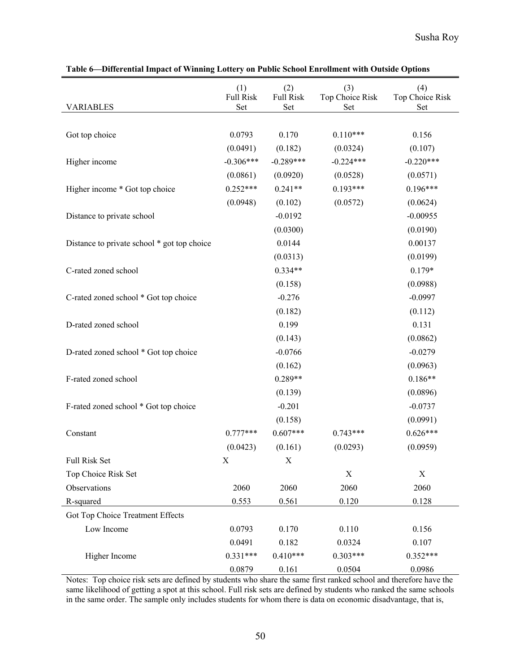|                                             | (1)<br><b>Full Risk</b> | (2)<br><b>Full Risk</b> | (3)<br>Top Choice Risk | (4)<br>Top Choice Risk |
|---------------------------------------------|-------------------------|-------------------------|------------------------|------------------------|
| <b>VARIABLES</b>                            | Set                     | Set                     | Set                    | Set                    |
|                                             |                         |                         |                        |                        |
| Got top choice                              | 0.0793                  | 0.170                   | $0.110***$             | 0.156                  |
|                                             | (0.0491)                | (0.182)                 | (0.0324)               | (0.107)                |
| Higher income                               | $-0.306***$             | $-0.289***$             | $-0.224***$            | $-0.220***$            |
|                                             | (0.0861)                | (0.0920)                | (0.0528)               | (0.0571)               |
| Higher income * Got top choice              | $0.252***$              | $0.241**$               | $0.193***$             | $0.196***$             |
|                                             | (0.0948)                | (0.102)                 | (0.0572)               | (0.0624)               |
| Distance to private school                  |                         | $-0.0192$               |                        | $-0.00955$             |
|                                             |                         | (0.0300)                |                        | (0.0190)               |
| Distance to private school * got top choice |                         | 0.0144                  |                        | 0.00137                |
|                                             |                         | (0.0313)                |                        | (0.0199)               |
| C-rated zoned school                        |                         | $0.334**$               |                        | $0.179*$               |
|                                             |                         | (0.158)                 |                        | (0.0988)               |
| C-rated zoned school * Got top choice       |                         | $-0.276$                |                        | $-0.0997$              |
|                                             |                         | (0.182)                 |                        | (0.112)                |
| D-rated zoned school                        |                         | 0.199                   |                        | 0.131                  |
|                                             |                         | (0.143)                 |                        | (0.0862)               |
| D-rated zoned school * Got top choice       |                         | $-0.0766$               |                        | $-0.0279$              |
|                                             |                         | (0.162)                 |                        | (0.0963)               |
| F-rated zoned school                        |                         | $0.289**$               |                        | $0.186**$              |
|                                             |                         | (0.139)                 |                        | (0.0896)               |
| F-rated zoned school * Got top choice       |                         | $-0.201$                |                        | $-0.0737$              |
|                                             |                         | (0.158)                 |                        | (0.0991)               |
| Constant                                    | $0.777***$              | $0.607***$              | $0.743***$             | $0.626***$             |
|                                             | (0.0423)                | (0.161)                 | (0.0293)               | (0.0959)               |
| Full Risk Set                               | X                       | X                       |                        |                        |
| Top Choice Risk Set                         |                         |                         | X                      | X                      |
| Observations                                | 2060                    | 2060                    | 2060                   | 2060                   |
| R-squared                                   | 0.553                   | 0.561                   | 0.120                  | 0.128                  |
| Got Top Choice Treatment Effects            |                         |                         |                        |                        |
| Low Income                                  | 0.0793                  | 0.170                   | 0.110                  | 0.156                  |
|                                             | 0.0491                  | 0.182                   | 0.0324                 | 0.107                  |
| Higher Income                               | $0.331***$              | $0.410***$              | $0.303***$             | $0.352***$             |
|                                             | 0.0879                  | 0.161                   | 0.0504                 | 0.0986                 |

**Table 6—Differential Impact of Winning Lottery on Public School Enrollment with Outside Options**

Notes: Top choice risk sets are defined by students who share the same first ranked school and therefore have the same likelihood of getting a spot at this school. Full risk sets are defined by students who ranked the same schools in the same order. The sample only includes students for whom there is data on economic disadvantage, that is,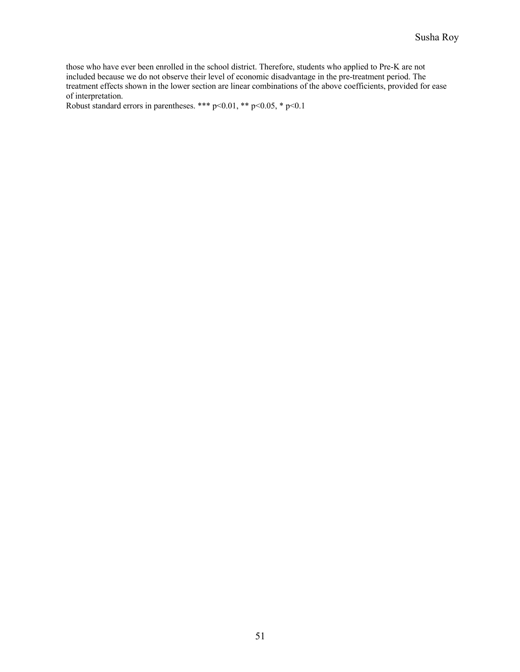those who have ever been enrolled in the school district. Therefore, students who applied to Pre-K are not included because we do not observe their level of economic disadvantage in the pre-treatment period. The treatment effects shown in the lower section are linear combinations of the above coefficients, provided for ease of interpretation.

Robust standard errors in parentheses. \*\*\* p<0.01, \*\* p<0.05, \* p<0.1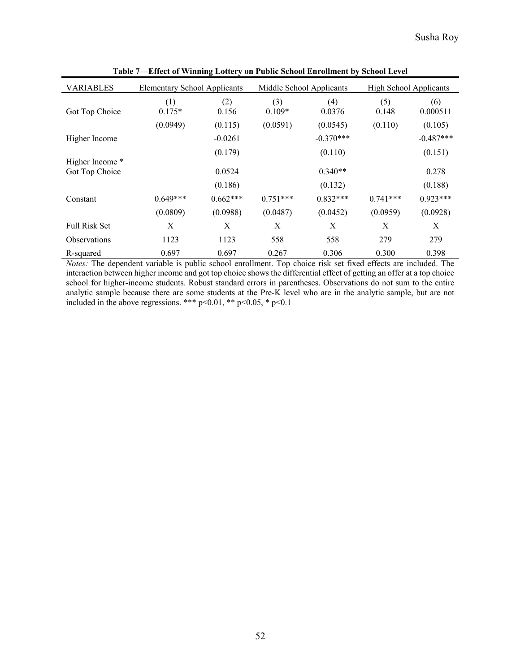| <b>VARIABLES</b>     | <b>Elementary School Applicants</b> |            | Middle School Applicants |             | <b>High School Applicants</b> |             |
|----------------------|-------------------------------------|------------|--------------------------|-------------|-------------------------------|-------------|
|                      | (1)                                 | (2)        | (3)                      | (4)         | (5)                           | (6)         |
| Got Top Choice       | $0.175*$                            | 0.156      | $0.109*$                 | 0.0376      | 0.148                         | 0.000511    |
|                      | (0.0949)                            | (0.115)    | (0.0591)                 | (0.0545)    | (0.110)                       | (0.105)     |
| Higher Income        |                                     | $-0.0261$  |                          | $-0.370***$ |                               | $-0.487***$ |
|                      |                                     | (0.179)    |                          | (0.110)     |                               | (0.151)     |
| Higher Income *      |                                     |            |                          |             |                               |             |
| Got Top Choice       |                                     | 0.0524     |                          | $0.340**$   |                               | 0.278       |
|                      |                                     | (0.186)    |                          | (0.132)     |                               | (0.188)     |
| Constant             | $0.649***$                          | $0.662***$ | $0.751***$               | $0.832***$  | $0.741***$                    | $0.923***$  |
|                      | (0.0809)                            | (0.0988)   | (0.0487)                 | (0.0452)    | (0.0959)                      | (0.0928)    |
| <b>Full Risk Set</b> | X                                   | X          | X                        | X           | X                             | X           |
| <b>Observations</b>  | 1123                                | 1123       | 558                      | 558         | 279                           | 279         |
| R-squared            | 0.697                               | 0.697      | 0.267                    | 0.306       | 0.300                         | 0.398       |

**Table 7—Effect of Winning Lottery on Public School Enrollment by School Level** 

*Notes:* The dependent variable is public school enrollment. Top choice risk set fixed effects are included. The interaction between higher income and got top choice shows the differential effect of getting an offer at a top choice school for higher-income students. Robust standard errors in parentheses. Observations do not sum to the entire analytic sample because there are some students at the Pre-K level who are in the analytic sample, but are not included in the above regressions. \*\*\* p<0.01, \*\* p<0.05, \* p<0.1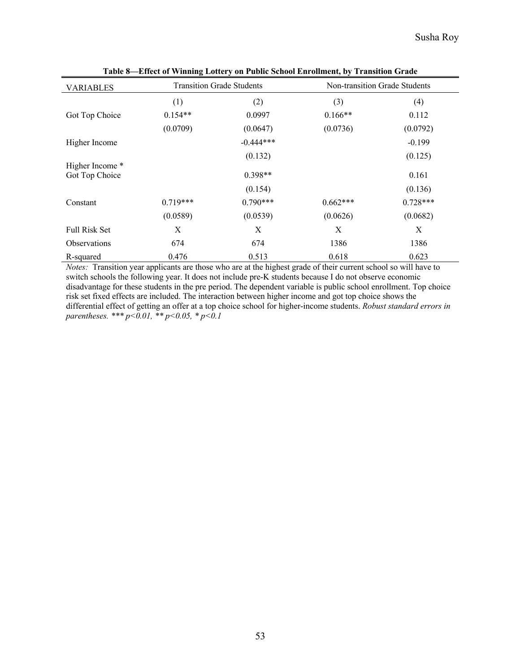| <b>VARIABLES</b>    |            | <b>Transition Grade Students</b> |            | Non-transition Grade Students |
|---------------------|------------|----------------------------------|------------|-------------------------------|
|                     | (1)        | (2)                              | (3)        | (4)                           |
| Got Top Choice      | $0.154**$  | 0.0997                           | $0.166**$  | 0.112                         |
|                     | (0.0709)   | (0.0647)                         | (0.0736)   | (0.0792)                      |
| Higher Income       |            | $-0.444***$                      |            | $-0.199$                      |
|                     |            | (0.132)                          |            | (0.125)                       |
| Higher Income *     |            |                                  |            |                               |
| Got Top Choice      |            | $0.398**$                        |            | 0.161                         |
|                     |            | (0.154)                          |            | (0.136)                       |
| Constant            | $0.719***$ | $0.790***$                       | $0.662***$ | $0.728***$                    |
|                     | (0.0589)   | (0.0539)                         | (0.0626)   | (0.0682)                      |
| Full Risk Set       | Χ          | X                                | X          | X                             |
| <b>Observations</b> | 674        | 674                              | 1386       | 1386                          |
| R-squared           | 0.476      | 0.513                            | 0.618      | 0.623                         |

**Table 8—Effect of Winning Lottery on Public School Enrollment, by Transition Grade**

*Notes:* Transition year applicants are those who are at the highest grade of their current school so will have to switch schools the following year. It does not include pre-K students because I do not observe economic disadvantage for these students in the pre period. The dependent variable is public school enrollment. Top choice risk set fixed effects are included. The interaction between higher income and got top choice shows the differential effect of getting an offer at a top choice school for higher-income students. *Robust standard errors in parentheses. \*\*\* p<0.01, \*\* p<0.05, \* p<0.1*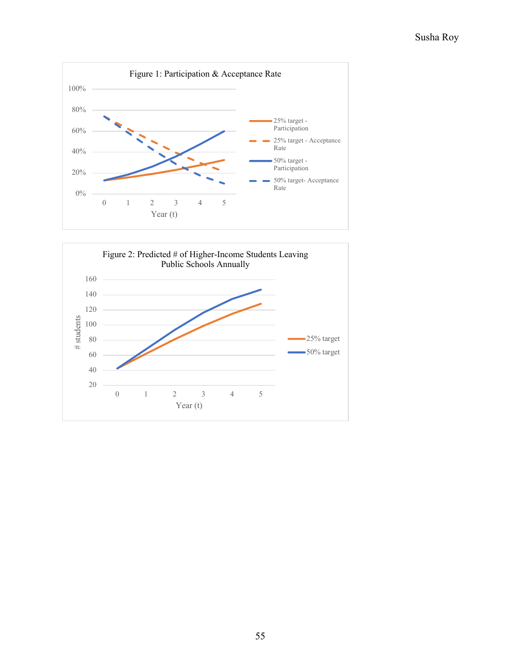

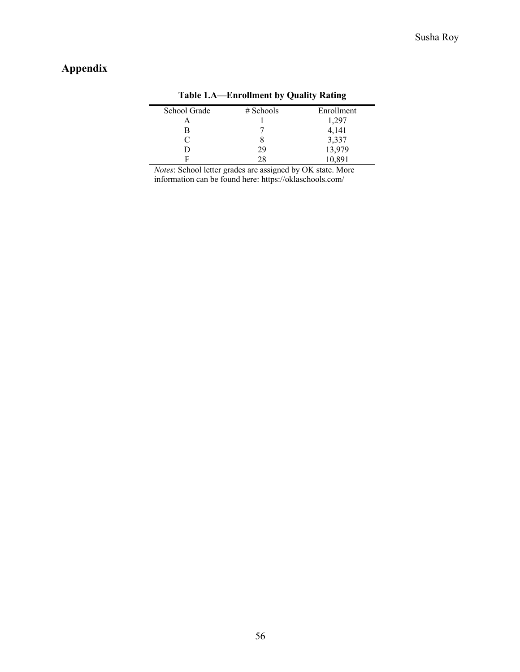# **Appendix**

|              | $\sim$      | ີ          |
|--------------|-------------|------------|
| School Grade | $#$ Schools | Enrollment |
|              |             | 1,297      |
| в            |             | 4,141      |
| $\subset$    |             | 3,337      |
|              | 29          | 13,979     |
|              |             | 10,891     |

#### **Table 1.A—Enrollment by Quality Rating**

*Notes*: School letter grades are assigned by OK state. More information can be found here: https://oklaschools.com/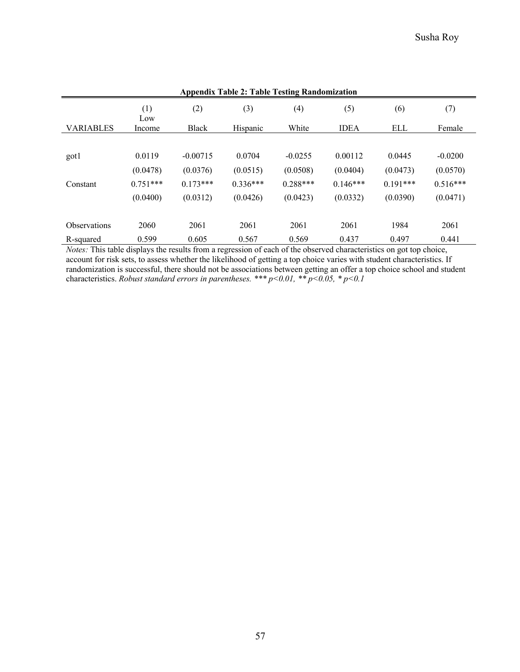| <b>Appendix Table 2: Table Testing Randomization</b> |            |              |            |            |              |            |            |
|------------------------------------------------------|------------|--------------|------------|------------|--------------|------------|------------|
|                                                      | (1)<br>Low | (2)          | (3)        | (4)        | (5)          | (6)        | (7)        |
| <b>VARIABLES</b>                                     | Income     | <b>Black</b> | Hispanic   | White      | <b>IDEA</b>  | ELL        | Female     |
|                                                      |            |              |            |            |              |            |            |
| got1                                                 | 0.0119     | $-0.00715$   | 0.0704     | $-0.0255$  | 0.00112      | 0.0445     | $-0.0200$  |
|                                                      | (0.0478)   | (0.0376)     | (0.0515)   | (0.0508)   | (0.0404)     | (0.0473)   | (0.0570)   |
| Constant                                             | $0.751***$ | $0.173***$   | $0.336***$ | $0.288***$ | $0.146***$   | $0.191***$ | $0.516***$ |
|                                                      | (0.0400)   | (0.0312)     | (0.0426)   | (0.0423)   | (0.0332)     | (0.0390)   | (0.0471)   |
| <b>Observations</b>                                  | 2060       | 2061         | 2061       | 2061       | 2061         | 1984       | 2061       |
| R-squared                                            | 0.599      | 0.605        | 0.567      | 0.569      | 0.437<br>. . | 0.497      | 0.441      |

*Notes:* This table displays the results from a regression of each of the observed characteristics on got top choice, account for risk sets, to assess whether the likelihood of getting a top choice varies with student characteristics. If randomization is successful, there should not be associations between getting an offer a top choice school and student characteristics. *Robust standard errors in parentheses. \*\*\* p<0.01, \*\* p<0.05, \* p<0.1*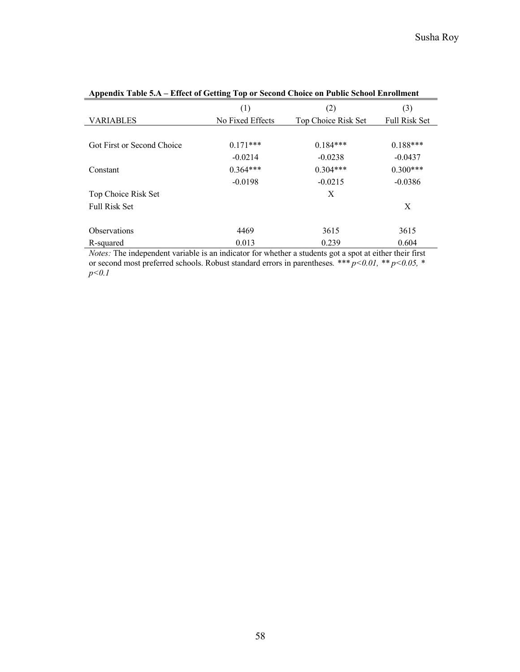|                            | (1)              | (2)                 | (3)                  |
|----------------------------|------------------|---------------------|----------------------|
| <b>VARIABLES</b>           | No Fixed Effects | Top Choice Risk Set | <b>Full Risk Set</b> |
|                            |                  |                     |                      |
| Got First or Second Choice | $0.171***$       | $0.184***$          | $0.188***$           |
|                            | $-0.0214$        | $-0.0238$           | $-0.0437$            |
| Constant                   | $0.364***$       | $0.304***$          | $0.300***$           |
|                            | $-0.0198$        | $-0.0215$           | $-0.0386$            |
| Top Choice Risk Set        |                  | X                   |                      |
| <b>Full Risk Set</b>       |                  |                     | X                    |
|                            |                  |                     |                      |
| <b>Observations</b>        | 4469             | 3615                | 3615                 |
| R-squared                  | 0.013            | 0.239               | 0.604                |

| Appendix Table 5.A – Effect of Getting Top or Second Choice on Public School Enrollment |  |  |
|-----------------------------------------------------------------------------------------|--|--|
|                                                                                         |  |  |

*Notes:* The independent variable is an indicator for whether a students got a spot at either their first or second most preferred schools. Robust standard errors in parentheses*. \*\*\* p<0.01, \*\* p<0.05, \* p<0.1*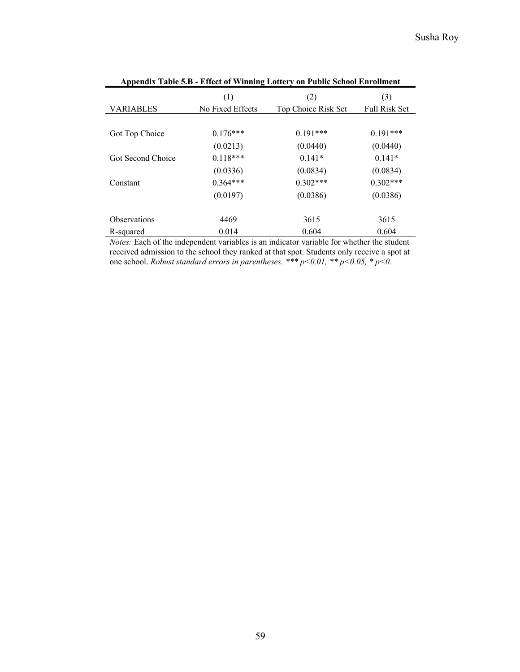|                     | (1)              | (2)                 | (3)                  |
|---------------------|------------------|---------------------|----------------------|
| <b>VARIABLES</b>    | No Fixed Effects | Top Choice Risk Set | <b>Full Risk Set</b> |
|                     |                  |                     |                      |
| Got Top Choice      | $0.176***$       | $0.191***$          | $0.191***$           |
|                     | (0.0213)         | (0.0440)            | (0.0440)             |
| Got Second Choice   | $0.118***$       | $0.141*$            | $0.141*$             |
|                     | (0.0336)         | (0.0834)            | (0.0834)             |
| Constant            | $0.364***$       | $0.302***$          | $0.302***$           |
|                     | (0.0197)         | (0.0386)            | (0.0386)             |
|                     |                  |                     |                      |
| <b>Observations</b> | 4469             | 3615                | 3615                 |
| R-squared           | 0.014            | 0.604               | 0.604                |

|  | Appendix Table 5.B - Effect of Winning Lottery on Public School Enrollment |
|--|----------------------------------------------------------------------------|
|--|----------------------------------------------------------------------------|

*Notes:* Each of the independent variables is an indicator variable for whether the student received admission to the school they ranked at that spot. Students only receive a spot at one school. *Robust standard errors in parentheses. \*\*\* p<0.01, \*\* p<0.05, \* p<0.*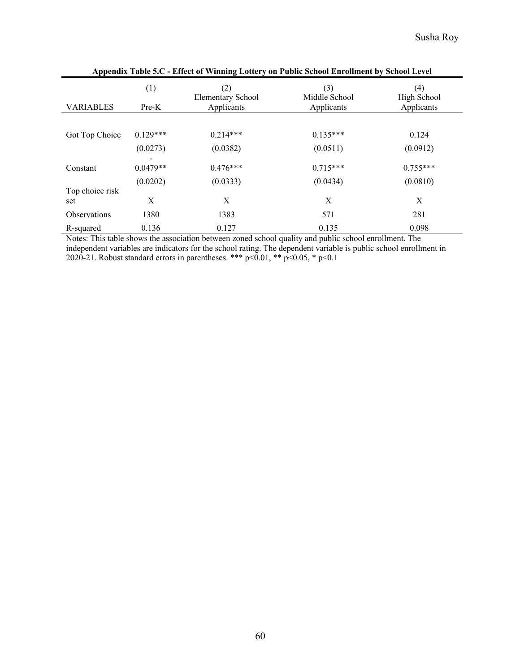| $\mu$ , $\mu$ , $\mu$ , $\mu$ , $\mu$ , $\mu$ , $\mu$ , $\mu$ , $\mu$ , $\mu$ , $\mu$ , $\mu$ , $\mu$ , $\mu$ , $\mu$ , $\mu$ , $\mu$ , $\mu$ , $\mu$ , $\mu$ , $\mu$ , $\mu$ |              |                                        |                                    |                                  |
|-------------------------------------------------------------------------------------------------------------------------------------------------------------------------------|--------------|----------------------------------------|------------------------------------|----------------------------------|
| <b>VARIABLES</b>                                                                                                                                                              | (1)<br>Pre-K | (2)<br>Elementary School<br>Applicants | (3)<br>Middle School<br>Applicants | (4)<br>High School<br>Applicants |
|                                                                                                                                                                               |              |                                        |                                    |                                  |
| Got Top Choice                                                                                                                                                                | $0.129***$   | $0.214***$                             | $0.135***$                         | 0.124                            |
|                                                                                                                                                                               | (0.0273)     | (0.0382)                               | (0.0511)                           | (0.0912)                         |
|                                                                                                                                                                               |              |                                        |                                    |                                  |
| Constant                                                                                                                                                                      | $0.0479**$   | $0.476***$                             | $0.715***$                         | $0.755***$                       |
|                                                                                                                                                                               | (0.0202)     | (0.0333)                               | (0.0434)                           | (0.0810)                         |
| Top choice risk                                                                                                                                                               |              |                                        |                                    |                                  |
| set                                                                                                                                                                           | Χ            | X                                      | X                                  | X                                |
| <b>Observations</b>                                                                                                                                                           | 1380         | 1383                                   | 571                                | 281                              |
| R-squared                                                                                                                                                                     | 0.136        | 0.127                                  | 0.135                              | 0.098                            |

**Appendix Table 5.C - Effect of Winning Lottery on Public School Enrollment by School Level**

Notes: This table shows the association between zoned school quality and public school enrollment. The independent variables are indicators for the school rating. The dependent variable is public school enrollment in 2020-21. Robust standard errors in parentheses. \*\*\* p<0.01, \*\* p<0.05, \* p<0.1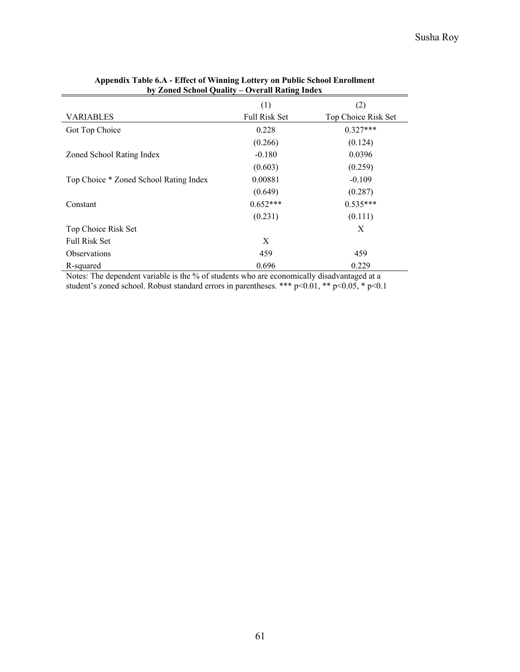|                                        | (1)                  | (2)                 |
|----------------------------------------|----------------------|---------------------|
| <b>VARIABLES</b>                       | <b>Full Risk Set</b> | Top Choice Risk Set |
| Got Top Choice                         | 0.228                | $0.327***$          |
|                                        | (0.266)              | (0.124)             |
| Zoned School Rating Index              | $-0.180$             | 0.0396              |
|                                        | (0.603)              | (0.259)             |
| Top Choice * Zoned School Rating Index | 0.00881              | $-0.109$            |
|                                        | (0.649)              | (0.287)             |
| Constant                               | $0.652***$           | $0.535***$          |
|                                        | (0.231)              | (0.111)             |
| Top Choice Risk Set                    |                      | X                   |
| <b>Full Risk Set</b>                   | X                    |                     |
| <b>Observations</b>                    | 459                  | 459                 |
| R-squared                              | 0.696                | 0.229               |

#### **Appendix Table 6.A - Effect of Winning Lottery on Public School Enrollment by Zoned School Quality – Overall Rating Index**

Notes: The dependent variable is the % of students who are economically disadvantaged at a student's zoned school. Robust standard errors in parentheses. \*\*\* p<0.01, \*\* p<0.05, \* p<0.1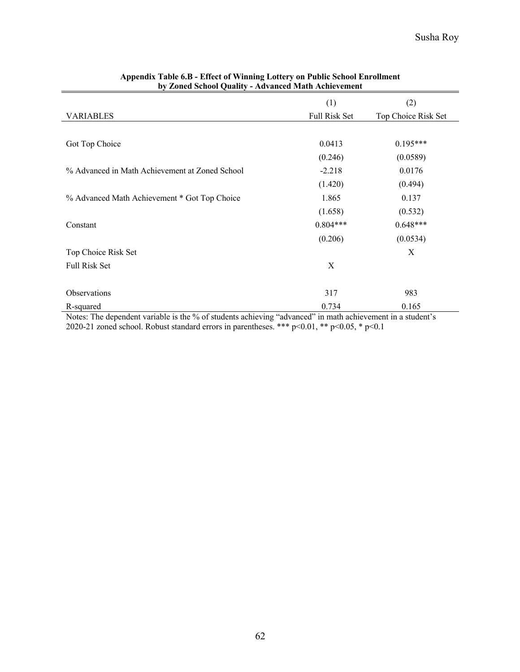|                                                | (1)           | (2)                 |
|------------------------------------------------|---------------|---------------------|
| <b>VARIABLES</b>                               | Full Risk Set | Top Choice Risk Set |
|                                                |               |                     |
| Got Top Choice                                 | 0.0413        | $0.195***$          |
|                                                | (0.246)       | (0.0589)            |
| % Advanced in Math Achievement at Zoned School | $-2.218$      | 0.0176              |
|                                                | (1.420)       | (0.494)             |
| % Advanced Math Achievement * Got Top Choice   | 1.865         | 0.137               |
|                                                | (1.658)       | (0.532)             |
| Constant                                       | $0.804***$    | $0.648***$          |
|                                                | (0.206)       | (0.0534)            |
| Top Choice Risk Set                            |               | X                   |
| Full Risk Set                                  | X             |                     |
|                                                |               |                     |
| Observations                                   | 317           | 983                 |
| R-squared                                      | 0.734         | 0.165               |

#### **Appendix Table 6.B - Effect of Winning Lottery on Public School Enrollment by Zoned School Quality - Advanced Math Achievement**

Notes: The dependent variable is the % of students achieving "advanced" in math achievement in a student's 2020-21 zoned school. Robust standard errors in parentheses. \*\*\* p<0.01, \*\* p<0.05, \* p<0.1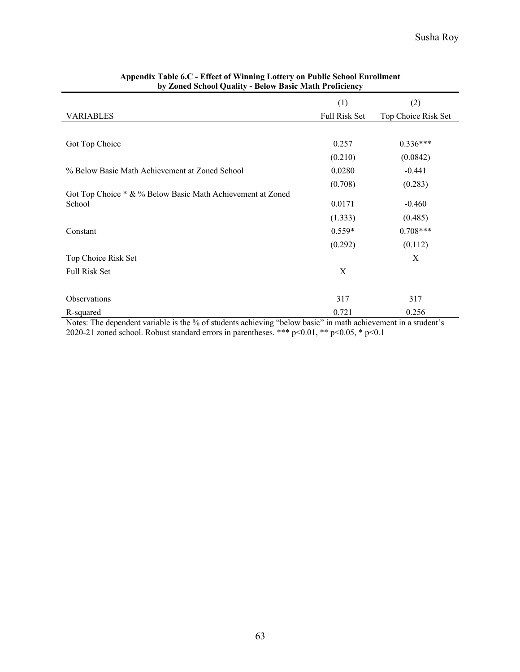|                                                            | (1)           | (2)                 |
|------------------------------------------------------------|---------------|---------------------|
| <b>VARIABLES</b>                                           | Full Risk Set | Top Choice Risk Set |
|                                                            |               |                     |
| Got Top Choice                                             | 0.257         | $0.336***$          |
|                                                            | (0.210)       | (0.0842)            |
| % Below Basic Math Achievement at Zoned School             | 0.0280        | $-0.441$            |
|                                                            | (0.708)       | (0.283)             |
| Got Top Choice * & % Below Basic Math Achievement at Zoned |               |                     |
| School                                                     | 0.0171        | $-0.460$            |
|                                                            | (1.333)       | (0.485)             |
| Constant                                                   | $0.559*$      | $0.708***$          |
|                                                            | (0.292)       | (0.112)             |
| Top Choice Risk Set                                        |               | X                   |
| Full Risk Set                                              | X             |                     |
|                                                            |               |                     |
| Observations                                               | 317           | 317                 |
| R-squared                                                  | 0.721         | 0.256               |

#### **Appendix Table 6.C - Effect of Winning Lottery on Public School Enrollment by Zoned School Quality - Below Basic Math Proficiency**

Notes: The dependent variable is the % of students achieving "below basic" in math achievement in a student's 2020-21 zoned school. Robust standard errors in parentheses. \*\*\*  $p<0.01$ , \*\*  $p<0.05$ , \*  $p<0.1$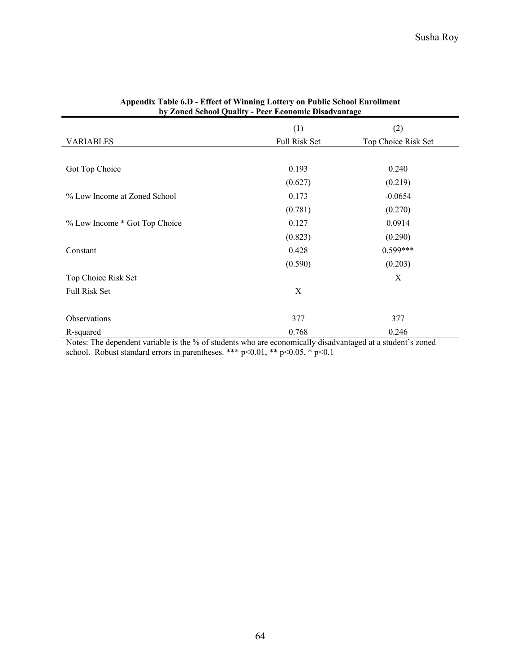|                               | (1)           | (2)                 |
|-------------------------------|---------------|---------------------|
| <b>VARIABLES</b>              | Full Risk Set | Top Choice Risk Set |
|                               |               |                     |
| Got Top Choice                | 0.193         | 0.240               |
|                               | (0.627)       | (0.219)             |
| % Low Income at Zoned School  | 0.173         | $-0.0654$           |
|                               | (0.781)       | (0.270)             |
| % Low Income * Got Top Choice | 0.127         | 0.0914              |
|                               | (0.823)       | (0.290)             |
| Constant                      | 0.428         | $0.599***$          |
|                               | (0.590)       | (0.203)             |
| Top Choice Risk Set           |               | X                   |
| Full Risk Set                 | X             |                     |
|                               |               |                     |
| Observations                  | 377           | 377                 |
| R-squared                     | 0.768         | 0.246               |

#### **Appendix Table 6.D - Effect of Winning Lottery on Public School Enrollment by Zoned School Quality - Peer Economic Disadvantage**

Notes: The dependent variable is the % of students who are economically disadvantaged at a student's zoned school. Robust standard errors in parentheses. \*\*\* p<0.01, \*\* p<0.05, \* p<0.1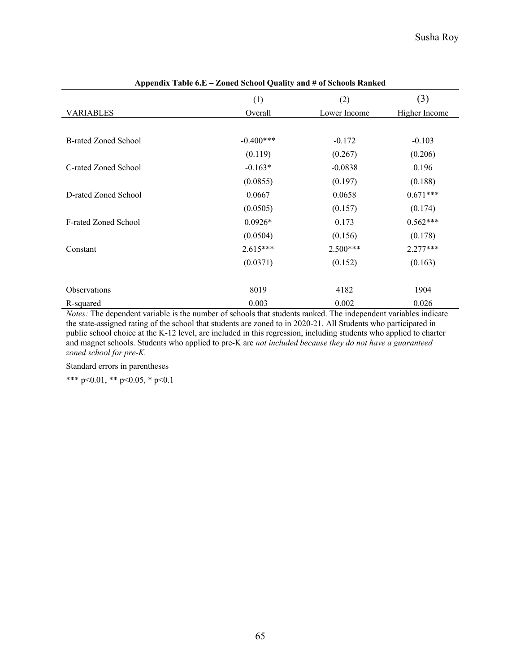| 1                           | $\frac{1}{2}$ $\frac{1}{2}$ $\frac{1}{2}$ $\frac{1}{2}$ $\frac{1}{2}$ $\frac{1}{2}$ $\frac{1}{2}$ $\frac{1}{2}$ $\frac{1}{2}$ $\frac{1}{2}$ $\frac{1}{2}$ $\frac{1}{2}$ $\frac{1}{2}$ $\frac{1}{2}$ $\frac{1}{2}$ $\frac{1}{2}$ $\frac{1}{2}$ $\frac{1}{2}$ $\frac{1}{2}$ $\frac{1}{2}$ $\frac{1}{2}$ $\frac{1}{2}$ |              |               |
|-----------------------------|---------------------------------------------------------------------------------------------------------------------------------------------------------------------------------------------------------------------------------------------------------------------------------------------------------------------|--------------|---------------|
|                             | (1)                                                                                                                                                                                                                                                                                                                 | (2)          | (3)           |
| <b>VARIABLES</b>            | Overall                                                                                                                                                                                                                                                                                                             | Lower Income | Higher Income |
|                             |                                                                                                                                                                                                                                                                                                                     |              |               |
| <b>B-rated Zoned School</b> | $-0.400***$                                                                                                                                                                                                                                                                                                         | $-0.172$     | $-0.103$      |
|                             | (0.119)                                                                                                                                                                                                                                                                                                             | (0.267)      | (0.206)       |
| C-rated Zoned School        | $-0.163*$                                                                                                                                                                                                                                                                                                           | $-0.0838$    | 0.196         |
|                             | (0.0855)                                                                                                                                                                                                                                                                                                            | (0.197)      | (0.188)       |
| D-rated Zoned School        | 0.0667                                                                                                                                                                                                                                                                                                              | 0.0658       | $0.671***$    |
|                             | (0.0505)                                                                                                                                                                                                                                                                                                            | (0.157)      | (0.174)       |
| <b>F-rated Zoned School</b> | $0.0926*$                                                                                                                                                                                                                                                                                                           | 0.173        | $0.562***$    |
|                             | (0.0504)                                                                                                                                                                                                                                                                                                            | (0.156)      | (0.178)       |
| Constant                    | $2.615***$                                                                                                                                                                                                                                                                                                          | $2.500***$   | $2.277***$    |
|                             | (0.0371)                                                                                                                                                                                                                                                                                                            | (0.152)      | (0.163)       |
|                             |                                                                                                                                                                                                                                                                                                                     |              |               |
| Observations                | 8019                                                                                                                                                                                                                                                                                                                | 4182         | 1904          |
| R-squared                   | 0.003                                                                                                                                                                                                                                                                                                               | 0.002        | 0.026         |

**Appendix Table 6.E – Zoned School Quality and # of Schools Ranked**

*Notes:* The dependent variable is the number of schools that students ranked. The independent variables indicate the state-assigned rating of the school that students are zoned to in 2020-21. All Students who participated in public school choice at the K-12 level, are included in this regression, including students who applied to charter and magnet schools. Students who applied to pre-K are *not included because they do not have a guaranteed zoned school for pre-K.* 

Standard errors in parentheses

\*\*\* p<0.01, \*\* p<0.05, \* p<0.1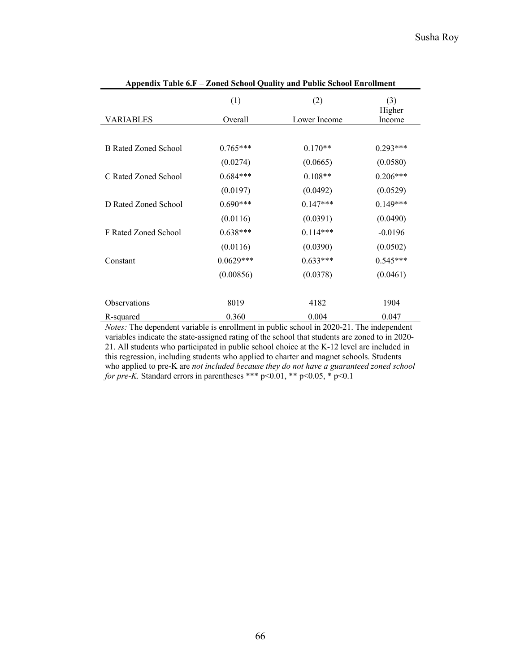| $\Delta$             |                        |                       |                        |  |
|----------------------|------------------------|-----------------------|------------------------|--|
| <b>VARIABLES</b>     | (1)<br>Overall         | (2)                   | (3)<br>Higher          |  |
|                      |                        | Lower Income          | Income                 |  |
| B Rated Zoned School | $0.765***$<br>(0.0274) | $0.170**$<br>(0.0665) | $0.293***$<br>(0.0580) |  |
|                      |                        |                       |                        |  |
| C Rated Zoned School | $0.684***$             | $0.108**$             | $0.206***$             |  |
|                      | (0.0197)               | (0.0492)              | (0.0529)               |  |
| D Rated Zoned School | $0.690***$             | $0.147***$            | $0.149***$             |  |
|                      | (0.0116)               | (0.0391)              | (0.0490)               |  |
| F Rated Zoned School | $0.638***$             | $0.114***$            | $-0.0196$              |  |
|                      | (0.0116)               | (0.0390)              | (0.0502)               |  |
| Constant             | $0.0629***$            | $0.633***$            | $0.545***$             |  |
|                      | (0.00856)              | (0.0378)              | (0.0461)               |  |
| <b>Observations</b>  | 8019                   | 4182                  | 1904                   |  |
| R-squared            | 0.360                  | 0.004                 | 0.047                  |  |

**Appendix Table 6.F – Zoned School Quality and Public School Enrollment**

*Notes:* The dependent variable is enrollment in public school in 2020-21. The independent variables indicate the state-assigned rating of the school that students are zoned to in 2020- 21. All students who participated in public school choice at the K-12 level are included in this regression, including students who applied to charter and magnet schools. Students who applied to pre-K are *not included because they do not have a guaranteed zoned school for pre-K.* Standard errors in parentheses \*\*\* p<0.01, \*\* p<0.05, \* p<0.1